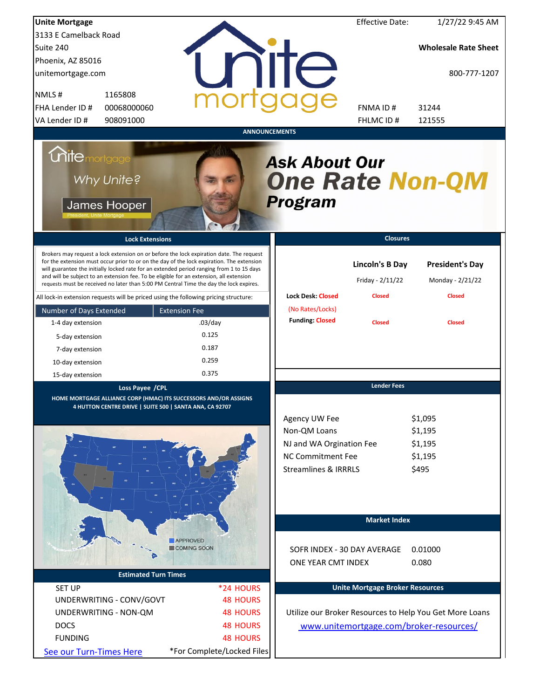| <b>Unite Mortgage</b>                                                                                                                                                                                                                                                                                                                                                                                                                                                                                                                                          |                                       |                                                                                                                          | <b>Effective Date:</b>                                      | 1/27/22 9:45 AM                                             |
|----------------------------------------------------------------------------------------------------------------------------------------------------------------------------------------------------------------------------------------------------------------------------------------------------------------------------------------------------------------------------------------------------------------------------------------------------------------------------------------------------------------------------------------------------------------|---------------------------------------|--------------------------------------------------------------------------------------------------------------------------|-------------------------------------------------------------|-------------------------------------------------------------|
| 3133 E Camelback Road                                                                                                                                                                                                                                                                                                                                                                                                                                                                                                                                          |                                       |                                                                                                                          |                                                             |                                                             |
| Suite 240                                                                                                                                                                                                                                                                                                                                                                                                                                                                                                                                                      |                                       |                                                                                                                          |                                                             | <b>Wholesale Rate Sheet</b>                                 |
| Phoenix, AZ 85016                                                                                                                                                                                                                                                                                                                                                                                                                                                                                                                                              |                                       |                                                                                                                          |                                                             |                                                             |
| unitemortgage.com                                                                                                                                                                                                                                                                                                                                                                                                                                                                                                                                              |                                       | <b>THE</b>                                                                                                               |                                                             | 800-777-1207                                                |
| NMLS#<br>1165808                                                                                                                                                                                                                                                                                                                                                                                                                                                                                                                                               |                                       |                                                                                                                          |                                                             |                                                             |
| FHA Lender ID #<br>00068000060                                                                                                                                                                                                                                                                                                                                                                                                                                                                                                                                 |                                       |                                                                                                                          | FNMA ID#                                                    | 31244                                                       |
| VA Lender ID #<br>908091000                                                                                                                                                                                                                                                                                                                                                                                                                                                                                                                                    |                                       |                                                                                                                          | FHLMC ID#                                                   | 121555                                                      |
|                                                                                                                                                                                                                                                                                                                                                                                                                                                                                                                                                                |                                       | <b>ANNOUNCEMENTS</b>                                                                                                     |                                                             |                                                             |
| <i><b>Unitemortgage</b></i><br>Why Unite?<br>James Hooper                                                                                                                                                                                                                                                                                                                                                                                                                                                                                                      |                                       | <b>Ask About Our</b><br><b>One Rate Non-QM</b><br><b>Program</b>                                                         |                                                             |                                                             |
| <b>Lock Extensions</b>                                                                                                                                                                                                                                                                                                                                                                                                                                                                                                                                         |                                       |                                                                                                                          | <b>Closures</b>                                             |                                                             |
| Brokers may request a lock extension on or before the lock expiration date. The request<br>for the extension must occur prior to or on the day of the lock expiration. The extension<br>will guarantee the initially locked rate for an extended period ranging from 1 to 15 days<br>and will be subject to an extension fee. To be eligible for an extension, all extension<br>requests must be received no later than 5:00 PM Central Time the day the lock expires.<br>All lock-in extension requests will be priced using the following pricing structure: |                                       | <b>Lock Desk: Closed</b>                                                                                                 | <b>Lincoln's B Day</b><br>Friday - 2/11/22<br><b>Closed</b> | <b>President's Day</b><br>Monday - 2/21/22<br><b>Closed</b> |
|                                                                                                                                                                                                                                                                                                                                                                                                                                                                                                                                                                |                                       | (No Rates/Locks)                                                                                                         |                                                             |                                                             |
| Number of Days Extended                                                                                                                                                                                                                                                                                                                                                                                                                                                                                                                                        | <b>Extension Fee</b>                  | <b>Funding: Closed</b>                                                                                                   |                                                             |                                                             |
| 1-4 day extension                                                                                                                                                                                                                                                                                                                                                                                                                                                                                                                                              | $.03$ /day                            |                                                                                                                          | <b>Closed</b>                                               | <b>Closed</b>                                               |
| 5-day extension                                                                                                                                                                                                                                                                                                                                                                                                                                                                                                                                                | 0.125                                 |                                                                                                                          |                                                             |                                                             |
| 7-day extension                                                                                                                                                                                                                                                                                                                                                                                                                                                                                                                                                | 0.187                                 |                                                                                                                          |                                                             |                                                             |
| 10-day extension                                                                                                                                                                                                                                                                                                                                                                                                                                                                                                                                               | 0.259                                 |                                                                                                                          |                                                             |                                                             |
| 15-day extension                                                                                                                                                                                                                                                                                                                                                                                                                                                                                                                                               | 0.375                                 |                                                                                                                          |                                                             |                                                             |
| Loss Payee /CPL                                                                                                                                                                                                                                                                                                                                                                                                                                                                                                                                                |                                       |                                                                                                                          | <b>Lender Fees</b>                                          |                                                             |
| HOME MORTGAGE ALLIANCE CORP (HMAC) ITS SUCCESSORS AND/OR ASSIGNS<br>4 HUTTON CENTRE DRIVE   SUITE 500   SANTA ANA, CA 92707                                                                                                                                                                                                                                                                                                                                                                                                                                    |                                       | Agency UW Fee<br>Non-QM Loans<br>NJ and WA Orgination Fee<br><b>NC Commitment Fee</b><br><b>Streamlines &amp; IRRRLS</b> |                                                             | \$1,095<br>\$1,195<br>\$1,195<br>\$1,195<br>\$495           |
|                                                                                                                                                                                                                                                                                                                                                                                                                                                                                                                                                                |                                       |                                                                                                                          | <b>Market Index</b>                                         |                                                             |
|                                                                                                                                                                                                                                                                                                                                                                                                                                                                                                                                                                | <b>APPROVED</b><br><b>COMING SOON</b> | SOFR INDEX - 30 DAY AVERAGE<br>ONE YEAR CMT INDEX                                                                        |                                                             | 0.01000<br>0.080                                            |
| <b>Estimated Turn Times</b>                                                                                                                                                                                                                                                                                                                                                                                                                                                                                                                                    |                                       |                                                                                                                          |                                                             |                                                             |
| <b>SET UP</b>                                                                                                                                                                                                                                                                                                                                                                                                                                                                                                                                                  | *24 HOURS                             |                                                                                                                          | <b>Unite Mortgage Broker Resources</b>                      |                                                             |
| UNDERWRITING - CONV/GOVT                                                                                                                                                                                                                                                                                                                                                                                                                                                                                                                                       | <b>48 HOURS</b>                       |                                                                                                                          |                                                             |                                                             |
| UNDERWRITING - NON-QM                                                                                                                                                                                                                                                                                                                                                                                                                                                                                                                                          | <b>48 HOURS</b>                       |                                                                                                                          |                                                             | Utilize our Broker Resources to Help You Get More Loans     |
| <b>DOCS</b>                                                                                                                                                                                                                                                                                                                                                                                                                                                                                                                                                    | <b>48 HOURS</b>                       |                                                                                                                          |                                                             | www.unitemortgage.com/broker-resources/                     |
| <b>FUNDING</b>                                                                                                                                                                                                                                                                                                                                                                                                                                                                                                                                                 | <b>48 HOURS</b>                       |                                                                                                                          |                                                             |                                                             |
| See our Turn-Times Here                                                                                                                                                                                                                                                                                                                                                                                                                                                                                                                                        | *For Complete/Locked Files            |                                                                                                                          |                                                             |                                                             |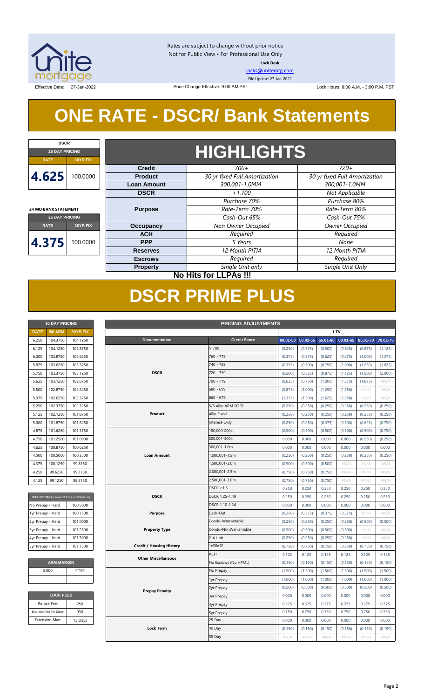

Rates are subject to change without prior notice Not for Public View • For Professional Use Only **Lock Desk**

[locks@unitemtg.com](mailto:locks@unitemtg.com)

File Update: 27-Jan-2022

Effective Date: 27-Jan-2022 **Lock Hours: 9:00 A.M. - 3:00 P.M. PST** Lock Hours: 9:00 A.M. - 3:00 P.M. PST

## **ONE RATE - DSCR/ Bank Statements**

Price Change Effective: 9:00 AM PST

| <b>DSCR</b>                 |          |  |  |  |  |  |
|-----------------------------|----------|--|--|--|--|--|
| <b>25 DAY PRICING</b>       |          |  |  |  |  |  |
| <b>RATE</b>                 | 30YR FIX |  |  |  |  |  |
| 4.625<br>100,0000           |          |  |  |  |  |  |
| <b>24 MO BANK STATEMENT</b> |          |  |  |  |  |  |
| <b>25 DAY PRICING</b>       |          |  |  |  |  |  |

**RATE 30YR FIX**

**4.375** 100.0000

## **HIGHLIGHTS**

| <b>Credit</b>      | $700+$                        | $720+$                        |  |  |  |
|--------------------|-------------------------------|-------------------------------|--|--|--|
| <b>Product</b>     | 30 yr fixed Full Amortization | 30 yr fixed Full Amortization |  |  |  |
| <b>Loan Amount</b> | 300,001-1.0MM                 | 300,001-1.0MM                 |  |  |  |
| <b>DSCR</b>        | $+1.100$                      | Not Applicable                |  |  |  |
|                    | Purchase 70%                  | Purchase 80%                  |  |  |  |
| <b>Purpose</b>     | Rate-Term 70%                 | Rate-Term 80%                 |  |  |  |
|                    | Cash-Out 65%                  | Cash-Out 75%                  |  |  |  |
| Occupancy          | Non Owner Occupied            | Owner Occupied                |  |  |  |
| <b>ACH</b>         | Required                      | Required                      |  |  |  |
| <b>PPP</b>         | 5 Years                       | None                          |  |  |  |
| <b>Reserves</b>    | 12 Month PITIA                | 12 Month PITIA                |  |  |  |
| <b>Escrows</b>     | Required                      | Required                      |  |  |  |
| <b>Property</b>    | Single Unit only              | Single Unit Only              |  |  |  |

### **No Hits for LLPAs !!!**

## **DSCR PRIME PLUS**

| <b>30 DAY PRICING</b> |                |                 |  |  |  |  |
|-----------------------|----------------|-----------------|--|--|--|--|
| <b>RATE</b>           | <b>5/6 ARM</b> | <b>30YR FIX</b> |  |  |  |  |
| 6.250                 | 104.3750       | 104.1250        |  |  |  |  |
| 6.125                 | 104.1250       | 103.8750        |  |  |  |  |
| 6.000                 | 103.8750       | 103.6250        |  |  |  |  |
| 5.875                 | 103.6250       | 103.3750        |  |  |  |  |
| 5.750                 | 103.3750       | 103.1250        |  |  |  |  |
| 5.625                 | 103.1250       | 102.8750        |  |  |  |  |
| 5.500                 | 102.8750       | 102.6250        |  |  |  |  |
| 5.375                 | 102.6250       | 102.3750        |  |  |  |  |
| 5.250                 | 102.3750       | 102.1250        |  |  |  |  |
| 5.125                 | 102.1250       | 101.8750        |  |  |  |  |
| 5.000                 | 101.8750       | 101.6250        |  |  |  |  |
| 4.875                 | 101.6250       | 101.3750        |  |  |  |  |
| 4.750                 | 101.2500       | 101.0000        |  |  |  |  |
| 4.625                 | 100.8750       | 100.6250        |  |  |  |  |
| 4.500                 | 100.5000       | 100.2500        |  |  |  |  |
| 4.375                 | 100.1250       | 99.8750         |  |  |  |  |
| 4.250                 | 99.6250        | 99.3750         |  |  |  |  |
| 4.125                 | 99.1250        | 98.8750         |  |  |  |  |

| MAX PRICING (Lower of Price or Premium) |          |  |  |  |  |  |
|-----------------------------------------|----------|--|--|--|--|--|
| No Prepay - Hard                        | 100,5000 |  |  |  |  |  |
| 1yr Prepay - Hard                       | 100.7500 |  |  |  |  |  |
| 2yr Prepay - Hard                       | 101.0000 |  |  |  |  |  |
| 3yr Prepay - Hard                       | 101.2500 |  |  |  |  |  |
| 4yr Prepay - Hard                       | 101.5000 |  |  |  |  |  |
| 5yr Prepay - Hard                       | 101.7500 |  |  |  |  |  |

| <b>ARM MARGIN</b> |  |  |  |  |  |
|-------------------|--|--|--|--|--|
| <b>SOFR</b>       |  |  |  |  |  |
|                   |  |  |  |  |  |
|                   |  |  |  |  |  |

| <b>LOCK FEES</b>        |         |  |  |  |  |  |
|-------------------------|---------|--|--|--|--|--|
| Relock Fee:             | .250    |  |  |  |  |  |
| Extension Fee Per Diem: | .030    |  |  |  |  |  |
| <b>Extension Max:</b>   | 15 Days |  |  |  |  |  |

| LTV<br>5/6 ARM<br><b>RATE</b><br>30YR FIX<br><b>Documentation</b><br><b>Credit Score</b><br>104.3750<br>104.1250<br>00.01-50<br>50.01-55<br>55.01-60 60.01-65<br>65.01-70<br>70.01-75<br>6.250<br>$\geq 780$<br>6.125<br>104.1250<br>103.8750<br>(0.250)<br>(0.375)<br>(0.500)<br>(0.625)<br>(0.875)<br>(1.125)<br>760 - 779<br>6.000<br>103.8750<br>103.6250<br>(0.375)<br>(0.375)<br>(0.625)<br>(0.875)<br>(1.000)<br>(1.375)<br>103.6250<br>103.3750<br>740 - 759<br>5.875<br>(0.375)<br>(0.500)<br>(0.750)<br>(1.000)<br>(1.250)<br>(1.625)<br>103.3750<br>103.1250<br><b>DSCR</b><br>720 - 739<br>(0.500)<br>5.750<br>(0.625)<br>(0.875)<br>(1.125)<br>(1.500)<br>(2.000)<br>700 - 719<br>5.625<br>103.1250<br>102.8750<br>(0.625)<br>(0.750)<br>(1.000)<br>(1.375)<br>(1.875)<br>#N/A<br>680 - 699<br>102.8750<br>5.500<br>102.6250<br>(0.875)<br>(1.000)<br>(1.250)<br>(1.750)<br>$\#N/A$<br>#N/A<br>$660 - 679$<br>5.375<br>102.6250<br>102.3750<br>(1.375)<br>(1.500)<br>(1.625)<br>(2.250)<br>$\#N/A$<br>#N/A<br>5.250<br>102.3750<br>102.1250<br>5/6 40yr ARM SOFR<br>(0.250)<br>(0.250)<br>(0.250)<br>(0.250)<br>(0.250)<br>(0.250)<br>40yr Fixed<br>Product<br>5.125<br>102.1250<br>101.8750<br>(0.250)<br>(0.250)<br>(0.250)<br>(0.250)<br>(0.250)<br>(0.250)<br>101.8750<br>101.6250<br>5.000<br>Interest-Only<br>(0.250)<br>(0.250)<br>(0.375)<br>(0.500)<br>(0.625)<br>(0.750)<br>150,000-200k<br>4.875<br>101.6250<br>101.3750<br>(0.500)<br>(0.500)<br>(0.500)<br>(0.500)<br>(0.500)<br>(0.750)<br>200,001-300k<br>101.0000<br>4.750<br>101.2500<br>0.000<br>0.000<br>0.000<br>0.000<br>(0.250)<br>(0.250)<br>100.8750<br>100.6250<br>300,001-1.0m<br>0.000<br>0.000<br>0.000<br>0.000<br>0.000<br>0.000<br>4.625<br>4.500<br>100.5000<br>100.2500<br><b>Loan Amount</b><br>1,000,001-1.5m<br>(0.250)<br>(0.250)<br>(0.250)<br>(0.250)<br>(0.250)<br>(0.250)<br>1,500,001-2.0m<br>99.8750<br>4.375<br>100.1250<br>(0.500)<br>(0.500)<br>(0.500)<br>#N/A<br>#N/A<br>#N/A<br>4.250<br>99.6250<br>99.3750<br>2,000,001-2.5m<br>(0.750)<br>(0.750)<br>(0.750)<br>$\#N/A$<br>$\#N/A$<br>#N/A<br>99.1250<br>2,500,001-3.0m<br>4.125<br>98.8750<br>(0.750)<br>(0.750)<br>(0.750)<br>#N/A<br>#N/A<br>#N/A<br>DSCR $\geq$ 1.5<br>0.250<br>0.250<br>0.250<br>0.250<br>0.250<br>0.250<br><b>DSCR</b><br>DSCR 1.25-1.49<br>0.250<br>0.250<br>0.250<br>0.250<br>0.250<br>0.250<br>MAX PRICING (Lower of Price or Premium)<br>DSCR 1.10-1.24<br>100.5000<br>0.000<br>0.000<br>0.000<br>0.000<br>0.000<br>0.000<br>No Prepay - Hard<br>100.7500<br>Cash-Out<br>$\#N/A$<br>$\#N/A$<br>1yr Prepay - Hard<br>Purpose<br>(0.250)<br>(0.375)<br>(0.375)<br>(0.375)<br>101.0000<br>Condo-Warrantable<br>2yr Prepay - Hard<br>(0.250)<br>(0.250)<br>(0.250)<br>(0.250)<br>(0.500)<br>(0.500)<br>3yr Prepay - Hard<br>101.2500<br><b>Property Type</b><br>Condo-NonWarrantable<br>(0.500)<br>(0.500)<br>(0.500)<br>(0.500)<br>$\#N/A$<br>#N/A<br>4yr Prepay - Hard<br>101.5000<br>2-4 Unit<br>(0.250)<br>(0.250)<br>(0.250)<br>(0.250)<br>$\#N/A$<br>$\#N/A$<br><b>Credit / Housing History</b><br>1x30x12<br>5yr Prepay - Hard<br>101.7500<br>(0.750)<br>(0.750)<br>(0.750)<br>(0.750)<br>(0.750)<br>(0.750)<br><b>ACH</b><br>0.125<br>0.125<br>0.125<br>0.125<br>0.125<br>0.125<br><b>Other Miscellaneous</b><br><b>ARM MARGIN</b><br>No Escrows (No HPML)<br>(0.150)<br>(0.150)<br>(0.150)<br>(0.150)<br>(0.150)<br>(0.150)<br>5.000<br>No Prepay<br>SOFR<br>(1.500)<br>(1.500)<br>(1.500)<br>(1.500)<br>(1.500)<br>(1.500)<br>(1.000)<br>(1.000)<br>(1.000)<br>(1.000)<br>(1.000)<br>(1.000)<br>1yr Prepay<br>(0.500)<br>(0.500)<br>(0.500)<br>(0.500)<br>(0.500)<br>(0.500)<br>2yr Prepay<br><b>Prepay Penalty</b><br><b>LOCK FEES</b><br>0.000<br>0.000<br>0.000<br>0.000<br>0.000<br>0.000<br><b>3yr Prepay</b><br>.250<br>Relock Fee:<br>0.375<br>0.375<br>0.375<br>0.375<br>0.375<br>0.375<br>4yr Prepay<br>Extension Fee Per Diem:<br>.030<br>0.750<br>0.750<br>0.750<br>0.750<br>0.750<br>0.750<br><b>5yr Prepay</b><br>25 Day<br><b>Extension Max:</b><br>0.000<br>0.000<br>0.000<br>0.000<br>0.000<br>0.000<br>15 Days<br><b>Lock Term</b><br>40 Day<br>(0.150)<br>(0.150)<br>(0.150)<br>(0.150)<br>(0.150)<br>(0.150)<br>55 Day<br>#N/A<br>#N/A<br>#N/A<br>#N/A<br>#N/A<br>#N/A | <b>30 DAY PRICING</b><br><b>PRICING ADJUSTMENTS</b> |  |  |  |  |  |  |  |  |  |  |
|-------------------------------------------------------------------------------------------------------------------------------------------------------------------------------------------------------------------------------------------------------------------------------------------------------------------------------------------------------------------------------------------------------------------------------------------------------------------------------------------------------------------------------------------------------------------------------------------------------------------------------------------------------------------------------------------------------------------------------------------------------------------------------------------------------------------------------------------------------------------------------------------------------------------------------------------------------------------------------------------------------------------------------------------------------------------------------------------------------------------------------------------------------------------------------------------------------------------------------------------------------------------------------------------------------------------------------------------------------------------------------------------------------------------------------------------------------------------------------------------------------------------------------------------------------------------------------------------------------------------------------------------------------------------------------------------------------------------------------------------------------------------------------------------------------------------------------------------------------------------------------------------------------------------------------------------------------------------------------------------------------------------------------------------------------------------------------------------------------------------------------------------------------------------------------------------------------------------------------------------------------------------------------------------------------------------------------------------------------------------------------------------------------------------------------------------------------------------------------------------------------------------------------------------------------------------------------------------------------------------------------------------------------------------------------------------------------------------------------------------------------------------------------------------------------------------------------------------------------------------------------------------------------------------------------------------------------------------------------------------------------------------------------------------------------------------------------------------------------------------------------------------------------------------------------------------------------------------------------------------------------------------------------------------------------------------------------------------------------------------------------------------------------------------------------------------------------------------------------------------------------------------------------------------------------------------------------------------------------------------------------------------------------------------------------------------------------------------------------------------------------------------------------------------------------------------------------------------------------------------------------------------------------------------------------------------------------------------------------------------------------------------------------------------------------------------------------------------------------------------------------------------------------------------------------------------------------------------------------------------------------------------------------------------|-----------------------------------------------------|--|--|--|--|--|--|--|--|--|--|
|                                                                                                                                                                                                                                                                                                                                                                                                                                                                                                                                                                                                                                                                                                                                                                                                                                                                                                                                                                                                                                                                                                                                                                                                                                                                                                                                                                                                                                                                                                                                                                                                                                                                                                                                                                                                                                                                                                                                                                                                                                                                                                                                                                                                                                                                                                                                                                                                                                                                                                                                                                                                                                                                                                                                                                                                                                                                                                                                                                                                                                                                                                                                                                                                                                                                                                                                                                                                                                                                                                                                                                                                                                                                                                                                                                                                                                                                                                                                                                                                                                                                                                                                                                                                                                                                                           |                                                     |  |  |  |  |  |  |  |  |  |  |
|                                                                                                                                                                                                                                                                                                                                                                                                                                                                                                                                                                                                                                                                                                                                                                                                                                                                                                                                                                                                                                                                                                                                                                                                                                                                                                                                                                                                                                                                                                                                                                                                                                                                                                                                                                                                                                                                                                                                                                                                                                                                                                                                                                                                                                                                                                                                                                                                                                                                                                                                                                                                                                                                                                                                                                                                                                                                                                                                                                                                                                                                                                                                                                                                                                                                                                                                                                                                                                                                                                                                                                                                                                                                                                                                                                                                                                                                                                                                                                                                                                                                                                                                                                                                                                                                                           |                                                     |  |  |  |  |  |  |  |  |  |  |
|                                                                                                                                                                                                                                                                                                                                                                                                                                                                                                                                                                                                                                                                                                                                                                                                                                                                                                                                                                                                                                                                                                                                                                                                                                                                                                                                                                                                                                                                                                                                                                                                                                                                                                                                                                                                                                                                                                                                                                                                                                                                                                                                                                                                                                                                                                                                                                                                                                                                                                                                                                                                                                                                                                                                                                                                                                                                                                                                                                                                                                                                                                                                                                                                                                                                                                                                                                                                                                                                                                                                                                                                                                                                                                                                                                                                                                                                                                                                                                                                                                                                                                                                                                                                                                                                                           |                                                     |  |  |  |  |  |  |  |  |  |  |
|                                                                                                                                                                                                                                                                                                                                                                                                                                                                                                                                                                                                                                                                                                                                                                                                                                                                                                                                                                                                                                                                                                                                                                                                                                                                                                                                                                                                                                                                                                                                                                                                                                                                                                                                                                                                                                                                                                                                                                                                                                                                                                                                                                                                                                                                                                                                                                                                                                                                                                                                                                                                                                                                                                                                                                                                                                                                                                                                                                                                                                                                                                                                                                                                                                                                                                                                                                                                                                                                                                                                                                                                                                                                                                                                                                                                                                                                                                                                                                                                                                                                                                                                                                                                                                                                                           |                                                     |  |  |  |  |  |  |  |  |  |  |
|                                                                                                                                                                                                                                                                                                                                                                                                                                                                                                                                                                                                                                                                                                                                                                                                                                                                                                                                                                                                                                                                                                                                                                                                                                                                                                                                                                                                                                                                                                                                                                                                                                                                                                                                                                                                                                                                                                                                                                                                                                                                                                                                                                                                                                                                                                                                                                                                                                                                                                                                                                                                                                                                                                                                                                                                                                                                                                                                                                                                                                                                                                                                                                                                                                                                                                                                                                                                                                                                                                                                                                                                                                                                                                                                                                                                                                                                                                                                                                                                                                                                                                                                                                                                                                                                                           |                                                     |  |  |  |  |  |  |  |  |  |  |
|                                                                                                                                                                                                                                                                                                                                                                                                                                                                                                                                                                                                                                                                                                                                                                                                                                                                                                                                                                                                                                                                                                                                                                                                                                                                                                                                                                                                                                                                                                                                                                                                                                                                                                                                                                                                                                                                                                                                                                                                                                                                                                                                                                                                                                                                                                                                                                                                                                                                                                                                                                                                                                                                                                                                                                                                                                                                                                                                                                                                                                                                                                                                                                                                                                                                                                                                                                                                                                                                                                                                                                                                                                                                                                                                                                                                                                                                                                                                                                                                                                                                                                                                                                                                                                                                                           |                                                     |  |  |  |  |  |  |  |  |  |  |
|                                                                                                                                                                                                                                                                                                                                                                                                                                                                                                                                                                                                                                                                                                                                                                                                                                                                                                                                                                                                                                                                                                                                                                                                                                                                                                                                                                                                                                                                                                                                                                                                                                                                                                                                                                                                                                                                                                                                                                                                                                                                                                                                                                                                                                                                                                                                                                                                                                                                                                                                                                                                                                                                                                                                                                                                                                                                                                                                                                                                                                                                                                                                                                                                                                                                                                                                                                                                                                                                                                                                                                                                                                                                                                                                                                                                                                                                                                                                                                                                                                                                                                                                                                                                                                                                                           |                                                     |  |  |  |  |  |  |  |  |  |  |
|                                                                                                                                                                                                                                                                                                                                                                                                                                                                                                                                                                                                                                                                                                                                                                                                                                                                                                                                                                                                                                                                                                                                                                                                                                                                                                                                                                                                                                                                                                                                                                                                                                                                                                                                                                                                                                                                                                                                                                                                                                                                                                                                                                                                                                                                                                                                                                                                                                                                                                                                                                                                                                                                                                                                                                                                                                                                                                                                                                                                                                                                                                                                                                                                                                                                                                                                                                                                                                                                                                                                                                                                                                                                                                                                                                                                                                                                                                                                                                                                                                                                                                                                                                                                                                                                                           |                                                     |  |  |  |  |  |  |  |  |  |  |
|                                                                                                                                                                                                                                                                                                                                                                                                                                                                                                                                                                                                                                                                                                                                                                                                                                                                                                                                                                                                                                                                                                                                                                                                                                                                                                                                                                                                                                                                                                                                                                                                                                                                                                                                                                                                                                                                                                                                                                                                                                                                                                                                                                                                                                                                                                                                                                                                                                                                                                                                                                                                                                                                                                                                                                                                                                                                                                                                                                                                                                                                                                                                                                                                                                                                                                                                                                                                                                                                                                                                                                                                                                                                                                                                                                                                                                                                                                                                                                                                                                                                                                                                                                                                                                                                                           |                                                     |  |  |  |  |  |  |  |  |  |  |
|                                                                                                                                                                                                                                                                                                                                                                                                                                                                                                                                                                                                                                                                                                                                                                                                                                                                                                                                                                                                                                                                                                                                                                                                                                                                                                                                                                                                                                                                                                                                                                                                                                                                                                                                                                                                                                                                                                                                                                                                                                                                                                                                                                                                                                                                                                                                                                                                                                                                                                                                                                                                                                                                                                                                                                                                                                                                                                                                                                                                                                                                                                                                                                                                                                                                                                                                                                                                                                                                                                                                                                                                                                                                                                                                                                                                                                                                                                                                                                                                                                                                                                                                                                                                                                                                                           |                                                     |  |  |  |  |  |  |  |  |  |  |
|                                                                                                                                                                                                                                                                                                                                                                                                                                                                                                                                                                                                                                                                                                                                                                                                                                                                                                                                                                                                                                                                                                                                                                                                                                                                                                                                                                                                                                                                                                                                                                                                                                                                                                                                                                                                                                                                                                                                                                                                                                                                                                                                                                                                                                                                                                                                                                                                                                                                                                                                                                                                                                                                                                                                                                                                                                                                                                                                                                                                                                                                                                                                                                                                                                                                                                                                                                                                                                                                                                                                                                                                                                                                                                                                                                                                                                                                                                                                                                                                                                                                                                                                                                                                                                                                                           |                                                     |  |  |  |  |  |  |  |  |  |  |
|                                                                                                                                                                                                                                                                                                                                                                                                                                                                                                                                                                                                                                                                                                                                                                                                                                                                                                                                                                                                                                                                                                                                                                                                                                                                                                                                                                                                                                                                                                                                                                                                                                                                                                                                                                                                                                                                                                                                                                                                                                                                                                                                                                                                                                                                                                                                                                                                                                                                                                                                                                                                                                                                                                                                                                                                                                                                                                                                                                                                                                                                                                                                                                                                                                                                                                                                                                                                                                                                                                                                                                                                                                                                                                                                                                                                                                                                                                                                                                                                                                                                                                                                                                                                                                                                                           |                                                     |  |  |  |  |  |  |  |  |  |  |
|                                                                                                                                                                                                                                                                                                                                                                                                                                                                                                                                                                                                                                                                                                                                                                                                                                                                                                                                                                                                                                                                                                                                                                                                                                                                                                                                                                                                                                                                                                                                                                                                                                                                                                                                                                                                                                                                                                                                                                                                                                                                                                                                                                                                                                                                                                                                                                                                                                                                                                                                                                                                                                                                                                                                                                                                                                                                                                                                                                                                                                                                                                                                                                                                                                                                                                                                                                                                                                                                                                                                                                                                                                                                                                                                                                                                                                                                                                                                                                                                                                                                                                                                                                                                                                                                                           |                                                     |  |  |  |  |  |  |  |  |  |  |
|                                                                                                                                                                                                                                                                                                                                                                                                                                                                                                                                                                                                                                                                                                                                                                                                                                                                                                                                                                                                                                                                                                                                                                                                                                                                                                                                                                                                                                                                                                                                                                                                                                                                                                                                                                                                                                                                                                                                                                                                                                                                                                                                                                                                                                                                                                                                                                                                                                                                                                                                                                                                                                                                                                                                                                                                                                                                                                                                                                                                                                                                                                                                                                                                                                                                                                                                                                                                                                                                                                                                                                                                                                                                                                                                                                                                                                                                                                                                                                                                                                                                                                                                                                                                                                                                                           |                                                     |  |  |  |  |  |  |  |  |  |  |
|                                                                                                                                                                                                                                                                                                                                                                                                                                                                                                                                                                                                                                                                                                                                                                                                                                                                                                                                                                                                                                                                                                                                                                                                                                                                                                                                                                                                                                                                                                                                                                                                                                                                                                                                                                                                                                                                                                                                                                                                                                                                                                                                                                                                                                                                                                                                                                                                                                                                                                                                                                                                                                                                                                                                                                                                                                                                                                                                                                                                                                                                                                                                                                                                                                                                                                                                                                                                                                                                                                                                                                                                                                                                                                                                                                                                                                                                                                                                                                                                                                                                                                                                                                                                                                                                                           |                                                     |  |  |  |  |  |  |  |  |  |  |
|                                                                                                                                                                                                                                                                                                                                                                                                                                                                                                                                                                                                                                                                                                                                                                                                                                                                                                                                                                                                                                                                                                                                                                                                                                                                                                                                                                                                                                                                                                                                                                                                                                                                                                                                                                                                                                                                                                                                                                                                                                                                                                                                                                                                                                                                                                                                                                                                                                                                                                                                                                                                                                                                                                                                                                                                                                                                                                                                                                                                                                                                                                                                                                                                                                                                                                                                                                                                                                                                                                                                                                                                                                                                                                                                                                                                                                                                                                                                                                                                                                                                                                                                                                                                                                                                                           |                                                     |  |  |  |  |  |  |  |  |  |  |
|                                                                                                                                                                                                                                                                                                                                                                                                                                                                                                                                                                                                                                                                                                                                                                                                                                                                                                                                                                                                                                                                                                                                                                                                                                                                                                                                                                                                                                                                                                                                                                                                                                                                                                                                                                                                                                                                                                                                                                                                                                                                                                                                                                                                                                                                                                                                                                                                                                                                                                                                                                                                                                                                                                                                                                                                                                                                                                                                                                                                                                                                                                                                                                                                                                                                                                                                                                                                                                                                                                                                                                                                                                                                                                                                                                                                                                                                                                                                                                                                                                                                                                                                                                                                                                                                                           |                                                     |  |  |  |  |  |  |  |  |  |  |
|                                                                                                                                                                                                                                                                                                                                                                                                                                                                                                                                                                                                                                                                                                                                                                                                                                                                                                                                                                                                                                                                                                                                                                                                                                                                                                                                                                                                                                                                                                                                                                                                                                                                                                                                                                                                                                                                                                                                                                                                                                                                                                                                                                                                                                                                                                                                                                                                                                                                                                                                                                                                                                                                                                                                                                                                                                                                                                                                                                                                                                                                                                                                                                                                                                                                                                                                                                                                                                                                                                                                                                                                                                                                                                                                                                                                                                                                                                                                                                                                                                                                                                                                                                                                                                                                                           |                                                     |  |  |  |  |  |  |  |  |  |  |
|                                                                                                                                                                                                                                                                                                                                                                                                                                                                                                                                                                                                                                                                                                                                                                                                                                                                                                                                                                                                                                                                                                                                                                                                                                                                                                                                                                                                                                                                                                                                                                                                                                                                                                                                                                                                                                                                                                                                                                                                                                                                                                                                                                                                                                                                                                                                                                                                                                                                                                                                                                                                                                                                                                                                                                                                                                                                                                                                                                                                                                                                                                                                                                                                                                                                                                                                                                                                                                                                                                                                                                                                                                                                                                                                                                                                                                                                                                                                                                                                                                                                                                                                                                                                                                                                                           |                                                     |  |  |  |  |  |  |  |  |  |  |
|                                                                                                                                                                                                                                                                                                                                                                                                                                                                                                                                                                                                                                                                                                                                                                                                                                                                                                                                                                                                                                                                                                                                                                                                                                                                                                                                                                                                                                                                                                                                                                                                                                                                                                                                                                                                                                                                                                                                                                                                                                                                                                                                                                                                                                                                                                                                                                                                                                                                                                                                                                                                                                                                                                                                                                                                                                                                                                                                                                                                                                                                                                                                                                                                                                                                                                                                                                                                                                                                                                                                                                                                                                                                                                                                                                                                                                                                                                                                                                                                                                                                                                                                                                                                                                                                                           |                                                     |  |  |  |  |  |  |  |  |  |  |
|                                                                                                                                                                                                                                                                                                                                                                                                                                                                                                                                                                                                                                                                                                                                                                                                                                                                                                                                                                                                                                                                                                                                                                                                                                                                                                                                                                                                                                                                                                                                                                                                                                                                                                                                                                                                                                                                                                                                                                                                                                                                                                                                                                                                                                                                                                                                                                                                                                                                                                                                                                                                                                                                                                                                                                                                                                                                                                                                                                                                                                                                                                                                                                                                                                                                                                                                                                                                                                                                                                                                                                                                                                                                                                                                                                                                                                                                                                                                                                                                                                                                                                                                                                                                                                                                                           |                                                     |  |  |  |  |  |  |  |  |  |  |
|                                                                                                                                                                                                                                                                                                                                                                                                                                                                                                                                                                                                                                                                                                                                                                                                                                                                                                                                                                                                                                                                                                                                                                                                                                                                                                                                                                                                                                                                                                                                                                                                                                                                                                                                                                                                                                                                                                                                                                                                                                                                                                                                                                                                                                                                                                                                                                                                                                                                                                                                                                                                                                                                                                                                                                                                                                                                                                                                                                                                                                                                                                                                                                                                                                                                                                                                                                                                                                                                                                                                                                                                                                                                                                                                                                                                                                                                                                                                                                                                                                                                                                                                                                                                                                                                                           |                                                     |  |  |  |  |  |  |  |  |  |  |
|                                                                                                                                                                                                                                                                                                                                                                                                                                                                                                                                                                                                                                                                                                                                                                                                                                                                                                                                                                                                                                                                                                                                                                                                                                                                                                                                                                                                                                                                                                                                                                                                                                                                                                                                                                                                                                                                                                                                                                                                                                                                                                                                                                                                                                                                                                                                                                                                                                                                                                                                                                                                                                                                                                                                                                                                                                                                                                                                                                                                                                                                                                                                                                                                                                                                                                                                                                                                                                                                                                                                                                                                                                                                                                                                                                                                                                                                                                                                                                                                                                                                                                                                                                                                                                                                                           |                                                     |  |  |  |  |  |  |  |  |  |  |
|                                                                                                                                                                                                                                                                                                                                                                                                                                                                                                                                                                                                                                                                                                                                                                                                                                                                                                                                                                                                                                                                                                                                                                                                                                                                                                                                                                                                                                                                                                                                                                                                                                                                                                                                                                                                                                                                                                                                                                                                                                                                                                                                                                                                                                                                                                                                                                                                                                                                                                                                                                                                                                                                                                                                                                                                                                                                                                                                                                                                                                                                                                                                                                                                                                                                                                                                                                                                                                                                                                                                                                                                                                                                                                                                                                                                                                                                                                                                                                                                                                                                                                                                                                                                                                                                                           |                                                     |  |  |  |  |  |  |  |  |  |  |
|                                                                                                                                                                                                                                                                                                                                                                                                                                                                                                                                                                                                                                                                                                                                                                                                                                                                                                                                                                                                                                                                                                                                                                                                                                                                                                                                                                                                                                                                                                                                                                                                                                                                                                                                                                                                                                                                                                                                                                                                                                                                                                                                                                                                                                                                                                                                                                                                                                                                                                                                                                                                                                                                                                                                                                                                                                                                                                                                                                                                                                                                                                                                                                                                                                                                                                                                                                                                                                                                                                                                                                                                                                                                                                                                                                                                                                                                                                                                                                                                                                                                                                                                                                                                                                                                                           |                                                     |  |  |  |  |  |  |  |  |  |  |
|                                                                                                                                                                                                                                                                                                                                                                                                                                                                                                                                                                                                                                                                                                                                                                                                                                                                                                                                                                                                                                                                                                                                                                                                                                                                                                                                                                                                                                                                                                                                                                                                                                                                                                                                                                                                                                                                                                                                                                                                                                                                                                                                                                                                                                                                                                                                                                                                                                                                                                                                                                                                                                                                                                                                                                                                                                                                                                                                                                                                                                                                                                                                                                                                                                                                                                                                                                                                                                                                                                                                                                                                                                                                                                                                                                                                                                                                                                                                                                                                                                                                                                                                                                                                                                                                                           |                                                     |  |  |  |  |  |  |  |  |  |  |
|                                                                                                                                                                                                                                                                                                                                                                                                                                                                                                                                                                                                                                                                                                                                                                                                                                                                                                                                                                                                                                                                                                                                                                                                                                                                                                                                                                                                                                                                                                                                                                                                                                                                                                                                                                                                                                                                                                                                                                                                                                                                                                                                                                                                                                                                                                                                                                                                                                                                                                                                                                                                                                                                                                                                                                                                                                                                                                                                                                                                                                                                                                                                                                                                                                                                                                                                                                                                                                                                                                                                                                                                                                                                                                                                                                                                                                                                                                                                                                                                                                                                                                                                                                                                                                                                                           |                                                     |  |  |  |  |  |  |  |  |  |  |
|                                                                                                                                                                                                                                                                                                                                                                                                                                                                                                                                                                                                                                                                                                                                                                                                                                                                                                                                                                                                                                                                                                                                                                                                                                                                                                                                                                                                                                                                                                                                                                                                                                                                                                                                                                                                                                                                                                                                                                                                                                                                                                                                                                                                                                                                                                                                                                                                                                                                                                                                                                                                                                                                                                                                                                                                                                                                                                                                                                                                                                                                                                                                                                                                                                                                                                                                                                                                                                                                                                                                                                                                                                                                                                                                                                                                                                                                                                                                                                                                                                                                                                                                                                                                                                                                                           |                                                     |  |  |  |  |  |  |  |  |  |  |
|                                                                                                                                                                                                                                                                                                                                                                                                                                                                                                                                                                                                                                                                                                                                                                                                                                                                                                                                                                                                                                                                                                                                                                                                                                                                                                                                                                                                                                                                                                                                                                                                                                                                                                                                                                                                                                                                                                                                                                                                                                                                                                                                                                                                                                                                                                                                                                                                                                                                                                                                                                                                                                                                                                                                                                                                                                                                                                                                                                                                                                                                                                                                                                                                                                                                                                                                                                                                                                                                                                                                                                                                                                                                                                                                                                                                                                                                                                                                                                                                                                                                                                                                                                                                                                                                                           |                                                     |  |  |  |  |  |  |  |  |  |  |
|                                                                                                                                                                                                                                                                                                                                                                                                                                                                                                                                                                                                                                                                                                                                                                                                                                                                                                                                                                                                                                                                                                                                                                                                                                                                                                                                                                                                                                                                                                                                                                                                                                                                                                                                                                                                                                                                                                                                                                                                                                                                                                                                                                                                                                                                                                                                                                                                                                                                                                                                                                                                                                                                                                                                                                                                                                                                                                                                                                                                                                                                                                                                                                                                                                                                                                                                                                                                                                                                                                                                                                                                                                                                                                                                                                                                                                                                                                                                                                                                                                                                                                                                                                                                                                                                                           |                                                     |  |  |  |  |  |  |  |  |  |  |
|                                                                                                                                                                                                                                                                                                                                                                                                                                                                                                                                                                                                                                                                                                                                                                                                                                                                                                                                                                                                                                                                                                                                                                                                                                                                                                                                                                                                                                                                                                                                                                                                                                                                                                                                                                                                                                                                                                                                                                                                                                                                                                                                                                                                                                                                                                                                                                                                                                                                                                                                                                                                                                                                                                                                                                                                                                                                                                                                                                                                                                                                                                                                                                                                                                                                                                                                                                                                                                                                                                                                                                                                                                                                                                                                                                                                                                                                                                                                                                                                                                                                                                                                                                                                                                                                                           |                                                     |  |  |  |  |  |  |  |  |  |  |
|                                                                                                                                                                                                                                                                                                                                                                                                                                                                                                                                                                                                                                                                                                                                                                                                                                                                                                                                                                                                                                                                                                                                                                                                                                                                                                                                                                                                                                                                                                                                                                                                                                                                                                                                                                                                                                                                                                                                                                                                                                                                                                                                                                                                                                                                                                                                                                                                                                                                                                                                                                                                                                                                                                                                                                                                                                                                                                                                                                                                                                                                                                                                                                                                                                                                                                                                                                                                                                                                                                                                                                                                                                                                                                                                                                                                                                                                                                                                                                                                                                                                                                                                                                                                                                                                                           |                                                     |  |  |  |  |  |  |  |  |  |  |
|                                                                                                                                                                                                                                                                                                                                                                                                                                                                                                                                                                                                                                                                                                                                                                                                                                                                                                                                                                                                                                                                                                                                                                                                                                                                                                                                                                                                                                                                                                                                                                                                                                                                                                                                                                                                                                                                                                                                                                                                                                                                                                                                                                                                                                                                                                                                                                                                                                                                                                                                                                                                                                                                                                                                                                                                                                                                                                                                                                                                                                                                                                                                                                                                                                                                                                                                                                                                                                                                                                                                                                                                                                                                                                                                                                                                                                                                                                                                                                                                                                                                                                                                                                                                                                                                                           |                                                     |  |  |  |  |  |  |  |  |  |  |
|                                                                                                                                                                                                                                                                                                                                                                                                                                                                                                                                                                                                                                                                                                                                                                                                                                                                                                                                                                                                                                                                                                                                                                                                                                                                                                                                                                                                                                                                                                                                                                                                                                                                                                                                                                                                                                                                                                                                                                                                                                                                                                                                                                                                                                                                                                                                                                                                                                                                                                                                                                                                                                                                                                                                                                                                                                                                                                                                                                                                                                                                                                                                                                                                                                                                                                                                                                                                                                                                                                                                                                                                                                                                                                                                                                                                                                                                                                                                                                                                                                                                                                                                                                                                                                                                                           |                                                     |  |  |  |  |  |  |  |  |  |  |
|                                                                                                                                                                                                                                                                                                                                                                                                                                                                                                                                                                                                                                                                                                                                                                                                                                                                                                                                                                                                                                                                                                                                                                                                                                                                                                                                                                                                                                                                                                                                                                                                                                                                                                                                                                                                                                                                                                                                                                                                                                                                                                                                                                                                                                                                                                                                                                                                                                                                                                                                                                                                                                                                                                                                                                                                                                                                                                                                                                                                                                                                                                                                                                                                                                                                                                                                                                                                                                                                                                                                                                                                                                                                                                                                                                                                                                                                                                                                                                                                                                                                                                                                                                                                                                                                                           |                                                     |  |  |  |  |  |  |  |  |  |  |
|                                                                                                                                                                                                                                                                                                                                                                                                                                                                                                                                                                                                                                                                                                                                                                                                                                                                                                                                                                                                                                                                                                                                                                                                                                                                                                                                                                                                                                                                                                                                                                                                                                                                                                                                                                                                                                                                                                                                                                                                                                                                                                                                                                                                                                                                                                                                                                                                                                                                                                                                                                                                                                                                                                                                                                                                                                                                                                                                                                                                                                                                                                                                                                                                                                                                                                                                                                                                                                                                                                                                                                                                                                                                                                                                                                                                                                                                                                                                                                                                                                                                                                                                                                                                                                                                                           |                                                     |  |  |  |  |  |  |  |  |  |  |
|                                                                                                                                                                                                                                                                                                                                                                                                                                                                                                                                                                                                                                                                                                                                                                                                                                                                                                                                                                                                                                                                                                                                                                                                                                                                                                                                                                                                                                                                                                                                                                                                                                                                                                                                                                                                                                                                                                                                                                                                                                                                                                                                                                                                                                                                                                                                                                                                                                                                                                                                                                                                                                                                                                                                                                                                                                                                                                                                                                                                                                                                                                                                                                                                                                                                                                                                                                                                                                                                                                                                                                                                                                                                                                                                                                                                                                                                                                                                                                                                                                                                                                                                                                                                                                                                                           |                                                     |  |  |  |  |  |  |  |  |  |  |
|                                                                                                                                                                                                                                                                                                                                                                                                                                                                                                                                                                                                                                                                                                                                                                                                                                                                                                                                                                                                                                                                                                                                                                                                                                                                                                                                                                                                                                                                                                                                                                                                                                                                                                                                                                                                                                                                                                                                                                                                                                                                                                                                                                                                                                                                                                                                                                                                                                                                                                                                                                                                                                                                                                                                                                                                                                                                                                                                                                                                                                                                                                                                                                                                                                                                                                                                                                                                                                                                                                                                                                                                                                                                                                                                                                                                                                                                                                                                                                                                                                                                                                                                                                                                                                                                                           |                                                     |  |  |  |  |  |  |  |  |  |  |

#### Page 2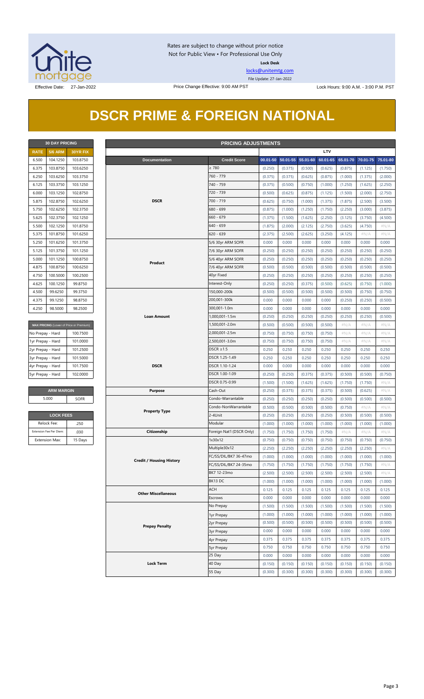

Rates are subject to change without prior notice Not for Public View • For Professional Use Only **Lock Desk**

[locks@unitemtg.com](mailto:locks@unitemtg.com)

File Update: 27-Jan-2022

### **DSCR PRIME & FOREIGN NATIONAL**

| <b>30 DAY PRICING</b> |                |          |  |  |  |  |  |
|-----------------------|----------------|----------|--|--|--|--|--|
| <b>RATE</b>           | <b>5/6 ARM</b> | 30YR FIX |  |  |  |  |  |
| 6.500                 | 104.1250       | 103.8750 |  |  |  |  |  |
| 6.375                 | 103.8750       | 103.6250 |  |  |  |  |  |
| 6.250                 | 103.6250       | 103.3750 |  |  |  |  |  |
| 6.125                 | 103.3750       | 103.1250 |  |  |  |  |  |
| 6.000                 | 103.1250       | 102.8750 |  |  |  |  |  |
| 5.875                 | 102.8750       | 102.6250 |  |  |  |  |  |
| 5.750                 | 102.6250       | 102.3750 |  |  |  |  |  |
| 5.625                 | 102.3750       | 102.1250 |  |  |  |  |  |
| 5.500                 | 102.1250       | 101.8750 |  |  |  |  |  |
| 5.375                 | 101.8750       | 101.6250 |  |  |  |  |  |
| 5.250                 | 101.6250       | 101.3750 |  |  |  |  |  |
| 5.125                 | 101.3750       | 101.1250 |  |  |  |  |  |
| 5.000                 | 101.1250       | 100.8750 |  |  |  |  |  |
| 4.875                 | 100.8750       | 100.6250 |  |  |  |  |  |
| 4.750                 | 100.5000       | 100.2500 |  |  |  |  |  |
| 4.625                 | 100.1250       | 99.8750  |  |  |  |  |  |
| 4.500                 | 99.6250        | 99.3750  |  |  |  |  |  |
| 4.375                 | 99.1250        | 98.8750  |  |  |  |  |  |
| 4.250                 | 98.5000        | 98.2500  |  |  |  |  |  |

| MAX PRICING (Lower of Price or Premium) |          |  |  |  |  |  |
|-----------------------------------------|----------|--|--|--|--|--|
| No Prepay - Hard                        | 100.7500 |  |  |  |  |  |
| 1yr Prepay - Hard                       | 101.0000 |  |  |  |  |  |
| 2yr Prepay - Hard                       | 101.2500 |  |  |  |  |  |
| 3yr Prepay - Hard                       | 101.5000 |  |  |  |  |  |
| 4yr Prepay - Hard                       | 101.7500 |  |  |  |  |  |
| 5yr Prepay - Hard                       | 102,0000 |  |  |  |  |  |
|                                         |          |  |  |  |  |  |

| <b>LOCK FEES</b>        |         |  |  |  |  |  |
|-------------------------|---------|--|--|--|--|--|
| Relock Fee:             | 250     |  |  |  |  |  |
| Extension Fee Per Diem: | .030    |  |  |  |  |  |
| <b>Extension Max:</b>   | 15 Days |  |  |  |  |  |

|                   | <b>30 DAY PRICING</b><br><b>PRICING ADJUSTMENTS</b> |                                         |                                 |                           |         |                   |          |          |          |          |          |
|-------------------|-----------------------------------------------------|-----------------------------------------|---------------------------------|---------------------------|---------|-------------------|----------|----------|----------|----------|----------|
| <b>RATE</b>       | <b>5/6 ARM</b>                                      | 30YR FIX                                |                                 |                           |         |                   |          | LTV      |          |          |          |
| 6.500             | 104.1250                                            | 103.8750                                | <b>Documentation</b>            | <b>Credit Score</b>       |         | 00.01-50 50.01-55 | 55.01-60 | 60.01-65 | 65.01-70 | 70.01-75 | 75.01-80 |
| 6.375             | 103.8750                                            | 103.6250                                |                                 | $\geq 780$                | (0.250) | (0.375)           | (0.500)  | (0.625)  | (0.875)  | (1.125)  | (1.750)  |
| 6.250             | 103.6250                                            | 103.3750                                |                                 | 760 - 779                 | (0.375) | (0.375)           | (0.625)  | (0.875)  | (1.000)  | (1.375)  | (2.000)  |
| 6.125             | 103.3750                                            | 103.1250                                |                                 | 740 - 759                 | (0.375) | (0.500)           | (0.750)  | (1.000)  | (1.250)  | (1.625)  | (2.250)  |
| 6.000             | 103.1250                                            | 102.8750                                |                                 | 720 - 739                 | (0.500) | (0.625)           | (0.875)  | (1.125)  | (1.500)  | (2.000)  | (2.750)  |
| 5.875             | 102.8750                                            | 102.6250                                | <b>DSCR</b>                     | 700 - 719                 | (0.625) | (0.750)           | (1.000)  | (1.375)  | (1.875)  | (2.500)  | (3.500)  |
| 5.750             | 102.6250                                            | 102.3750                                |                                 | 680 - 699                 | (0.875) | (1.000)           | (1.250)  | (1.750)  | (2.250)  | (3.000)  | (3.875)  |
| 5.625             | 102.3750                                            | 102.1250                                |                                 | $660 - 679$               | (1.375) | (1.500)           | (1.625)  | (2.250)  | (3.125)  | (3.750)  | (4.500)  |
| 5.500             | 102.1250                                            | 101.8750                                |                                 | $640 - 659$               | (1.875) | (2.000)           | (2.125)  | (2.750)  | (3.625)  | (4.750)  | $\#N/A$  |
| 5.375             | 101.8750                                            | 101.6250                                |                                 | $620 - 639$               | (2.375) | (2.500)           | (2.625)  | (3.250)  | (4.125)  | #N/A     | $\#N/A$  |
| 5.250             | 101.6250                                            | 101.3750                                |                                 | 5/6 30yr ARM SOFR         | 0.000   | 0.000             | 0.000    | 0.000    | 0.000    | 0.000    | 0.000    |
| 5.125             | 101.3750                                            | 101.1250                                |                                 | 7/6 30yr ARM SOFR         | (0.250) | (0.250)           | (0.250)  | (0.250)  | (0.250)  | (0.250)  | (0.250)  |
| 5.000             | 101.1250                                            | 100.8750                                |                                 | 5/6 40yr ARM SOFR         | (0.250) | (0.250)           | (0.250)  | (0.250)  | (0.250)  | (0.250)  | (0.250)  |
| 4.875             | 100.8750                                            | 100.6250                                | Product                         | 7/6 40yr ARM SOFR         | (0.500) | (0.500)           | (0.500)  | (0.500)  | (0.500)  | (0.500)  | (0.500)  |
|                   |                                                     |                                         |                                 |                           |         |                   |          |          |          |          |          |
| 4.750             | 100.5000                                            | 100.2500                                |                                 | 40yr Fixed                | (0.250) | (0.250)           | (0.250)  | (0.250)  | (0.250)  | (0.250)  | (0.250)  |
| 4.625             | 100.1250                                            | 99.8750                                 |                                 | Interest-Only             | (0.250) | (0.250)           | (0.375)  | (0.500)  | (0.625)  | (0.750)  | (1.000)  |
| 4.500             | 99.6250                                             | 99.3750                                 |                                 | 150,000-200k              | (0.500) | (0.500)           | (0.500)  | (0.500)  | (0.500)  | (0.750)  | (0.750)  |
| 4.375             | 99.1250                                             | 98.8750                                 |                                 | 200,001-300k              | 0.000   | 0.000             | 0.000    | 0.000    | (0.250)  | (0.250)  | (0.500)  |
| 4.250             | 98.5000                                             | 98.2500                                 |                                 | 300,001-1.0m              | 0.000   | 0.000             | 0.000    | 0.000    | 0.000    | 0.000    | 0.000    |
|                   |                                                     |                                         | <b>Loan Amount</b>              | 1,000,001-1.5m            | (0.250) | (0.250)           | (0.250)  | (0.250)  | (0.250)  | (0.250)  | (0.500)  |
|                   |                                                     | MAX PRICING (Lower of Price or Premium) |                                 | 1,500,001-2.0m            | (0.500) | (0.500)           | (0.500)  | (0.500)  | $\#N/A$  | $\#N/A$  | $\#N/A$  |
| No Prepay - Hard  |                                                     | 100.7500                                |                                 | 2,000,001-2.5m            | (0.750) | (0.750)           | (0.750)  | (0.750)  | $\#N/A$  | $\#N/A$  | # $N/A$  |
| 1yr Prepay - Hard |                                                     | 101.0000                                |                                 | 2,500,001-3.0m            | (0.750) | (0.750)           | (0.750)  | (0.750)  | $\#N/A$  | $\#N/A$  | $\#N/A$  |
| 2yr Prepay - Hard |                                                     | 101.2500                                |                                 | DSCR $\geq$ 1.5           | 0.250   | 0.250             | 0.250    | 0.250    | 0.250    | 0.250    | 0.250    |
| 3yr Prepay - Hard |                                                     | 101.5000                                |                                 | DSCR 1.25-1.49            | 0.250   | 0.250             | 0.250    | 0.250    | 0.250    | 0.250    | 0.250    |
| 4yr Prepay - Hard |                                                     | 101.7500                                | <b>DSCR</b>                     | DSCR 1.10-1.24            | 0.000   | 0.000             | 0.000    | 0.000    | 0.000    | 0.000    | 0.000    |
| 5yr Prepay - Hard |                                                     | 102.0000                                |                                 | DSCR 1.00-1.09            | (0.250) | (0.250)           | (0.375)  | (0.375)  | (0.500)  | (0.500)  | (0.750)  |
|                   |                                                     |                                         |                                 | DSCR 0.75-0.99            | (1.500) | (1.500)           | (1.625)  | (1.625)  | (1.750)  | (1.750)  | $\#N/A$  |
|                   | <b>ARM MARGIN</b>                                   |                                         | <b>Purpose</b>                  | Cash-Out                  | (0.250) | (0.375)           | (0.375)  | (0.375)  | (0.500)  | (0.625)  | $\#N/A$  |
|                   | 5.000                                               | SOFR                                    |                                 | Condo-Warrantable         | (0.250) | (0.250)           | (0.250)  | (0.250)  | (0.500)  | (0.500)  | (0.500)  |
|                   |                                                     |                                         |                                 | Condo-NonWarrantable      | (0.500) | (0.500)           | (0.500)  | (0.500)  | (0.750)  | $\#N/A$  | #N/A     |
|                   | <b>LOCK FEES</b>                                    |                                         | <b>Property Type</b>            | 2-4Unit                   | (0.250) | (0.250)           | (0.250)  | (0.250)  | (0.500)  | (0.500)  | (0.500)  |
|                   | Relock Fee:                                         | .250                                    |                                 | Modular                   | (1.000) | (1.000)           | (1.000)  | (1.000)  | (1.000)  | (1.000)  | (1.000)  |
|                   | Extension Fee Per Diem:                             | .030                                    | Citizenship                     | Foreign Nat'l (DSCR Only) | (1.750) | (1.750)           | (1.750)  | (1.750)  | $\#N/A$  | $\#N/A$  | $\#N/A$  |
|                   | <b>Extension Max:</b>                               | 15 Days                                 |                                 | 1x30x12                   | (0.750) | (0.750)           | (0.750)  | (0.750)  | (0.750)  | (0.750)  | (0.750)  |
|                   |                                                     |                                         |                                 | Multiple30x12             | (2.250) | (2.250)           | (2.250)  | (2.250)  | (2.250)  | (2.250)  | $\#N/A$  |
|                   |                                                     |                                         |                                 | FC/SS/DIL/BK7 36-47mo     | (1.000) | (1.000)           | (1.000)  | (1.000)  | (1.000)  | (1.000)  | (1.000)  |
|                   |                                                     |                                         | <b>Credit / Housing History</b> | FC/SS/DIL/BK7 24-35mo     | (1.750) | (1.750)           | (1.750)  | (1.750)  | (1.750)  | (1.750)  | # $N/A$  |
|                   |                                                     |                                         |                                 | BK7 12-23mo               | (2.500) | (2.500)           | (2.500)  | (2.500)  | (2.500)  | (2.500)  | $\#N/A$  |
|                   |                                                     |                                         |                                 | BK13 DC                   | (1.000) | (1.000)           | (1.000)  | (1.000)  | (1.000)  | (1.000)  | (1.000)  |
|                   |                                                     |                                         |                                 | ACH                       | 0.125   | 0.125             | 0.125    | 0.125    | 0.125    | 0.125    | 0.125    |
|                   |                                                     |                                         | <b>Other Miscellaneous</b>      | Escrows                   |         |                   |          |          |          |          |          |
|                   |                                                     |                                         |                                 |                           | 0.000   | 0.000             | 0.000    | 0.000    | 0.000    | 0.000    | 0.000    |
|                   |                                                     |                                         |                                 | No Prepay                 | (1.500) | (1.500)           | (1.500)  | (1.500)  | (1.500)  | (1.500)  | (1.500)  |
|                   |                                                     |                                         |                                 | 1yr Prepay                | (1.000) | (1.000)           | (1.000)  | (1.000)  | (1.000)  | (1.000)  | (1.000)  |
|                   |                                                     |                                         | <b>Prepay Penalty</b>           | 2yr Prepay                | (0.500) | (0.500)           | (0.500)  | (0.500)  | (0.500)  | (0.500)  | (0.500)  |
|                   |                                                     |                                         |                                 | 3yr Prepay                | 0.000   | 0.000             | 0.000    | 0.000    | 0.000    | 0.000    | 0.000    |
|                   |                                                     |                                         |                                 | 4yr Prepay                | 0.375   | 0.375             | 0.375    | 0.375    | 0.375    | 0.375    | 0.375    |
|                   |                                                     |                                         |                                 | 5yr Prepay                | 0.750   | 0.750             | 0.750    | 0.750    | 0.750    | 0.750    | 0.750    |
|                   |                                                     |                                         |                                 | 25 Day                    | 0.000   | 0.000             | 0.000    | 0.000    | 0.000    | 0.000    | 0.000    |
|                   |                                                     |                                         | <b>Lock Term</b>                | 40 Day                    | (0.150) | (0.150)           | (0.150)  | (0.150)  | (0.150)  | (0.150)  | (0.150)  |
|                   |                                                     |                                         |                                 | 55 Day                    | (0.300) | (0.300)           | (0.300)  | (0.300)  | (0.300)  | (0.300)  | (0.300)  |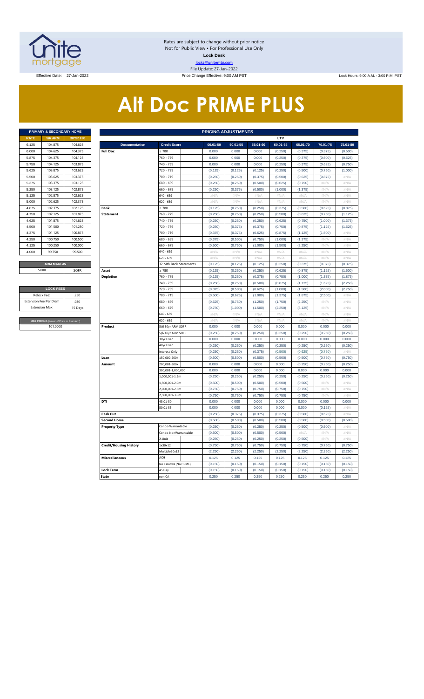

Rates are subject to change without prior notice Not for Public View • For Professional Use Only **Lock Desk** locks@unitemtg.com File Update: 27-Jan-2022 Effective Date: 27-Jan-2022 Price Change Effective: 9:00 AM PST Lock Hours: 9:00 A.M. - 3:00 P.M. PST

# **Alt Doc PRIME PLUS**

|             | <b>PRIMARY &amp; SECONDARY HOME</b><br><b>5/6 ARM</b><br><b>30YR FIX</b><br>104.875<br>104.625<br>104.625<br>104.375<br>104.375<br>104.125<br>104.125<br>103.875<br>103.875<br>103.625<br>103.625<br>103.375 |         |  |  |  |  |  |  |  |  |  |  |
|-------------|--------------------------------------------------------------------------------------------------------------------------------------------------------------------------------------------------------------|---------|--|--|--|--|--|--|--|--|--|--|
| <b>RATE</b> |                                                                                                                                                                                                              |         |  |  |  |  |  |  |  |  |  |  |
| 6.125       |                                                                                                                                                                                                              |         |  |  |  |  |  |  |  |  |  |  |
| 6.000       |                                                                                                                                                                                                              |         |  |  |  |  |  |  |  |  |  |  |
| 5.875       |                                                                                                                                                                                                              |         |  |  |  |  |  |  |  |  |  |  |
| 5.750       |                                                                                                                                                                                                              |         |  |  |  |  |  |  |  |  |  |  |
| 5.625       |                                                                                                                                                                                                              |         |  |  |  |  |  |  |  |  |  |  |
| 5.500       |                                                                                                                                                                                                              |         |  |  |  |  |  |  |  |  |  |  |
| 5.375       | 103.375                                                                                                                                                                                                      | 103.125 |  |  |  |  |  |  |  |  |  |  |
| 5.250       | 103.125                                                                                                                                                                                                      | 102.875 |  |  |  |  |  |  |  |  |  |  |
| 5.125       | 102.875                                                                                                                                                                                                      | 102.625 |  |  |  |  |  |  |  |  |  |  |
| 5.000       | 102.625                                                                                                                                                                                                      | 102.375 |  |  |  |  |  |  |  |  |  |  |
| 4.875       | 102.375                                                                                                                                                                                                      | 102.125 |  |  |  |  |  |  |  |  |  |  |
| 4.750       | 102.125                                                                                                                                                                                                      | 101.875 |  |  |  |  |  |  |  |  |  |  |
| 4.625       | 101.875                                                                                                                                                                                                      | 101.625 |  |  |  |  |  |  |  |  |  |  |
| 4.500       | 101.500                                                                                                                                                                                                      | 101.250 |  |  |  |  |  |  |  |  |  |  |
| 4.375       | 101.125                                                                                                                                                                                                      | 100.875 |  |  |  |  |  |  |  |  |  |  |
| 4.250       | 100.750                                                                                                                                                                                                      | 100,500 |  |  |  |  |  |  |  |  |  |  |
| 4.125       | 100.250                                                                                                                                                                                                      | 100,000 |  |  |  |  |  |  |  |  |  |  |
| 4.000       | 99.750                                                                                                                                                                                                       | 99.500  |  |  |  |  |  |  |  |  |  |  |
|             |                                                                                                                                                                                                              |         |  |  |  |  |  |  |  |  |  |  |
|             | <b>ARM MARGIN</b>                                                                                                                                                                                            |         |  |  |  |  |  |  |  |  |  |  |

| <b>LOCK FEES</b>                        |         |  |  |  |  |  |  |  |  |  |
|-----------------------------------------|---------|--|--|--|--|--|--|--|--|--|
| Relock Fee:                             | 250     |  |  |  |  |  |  |  |  |  |
| <b>Extension Fee Per Diem</b>           | .030    |  |  |  |  |  |  |  |  |  |
| <b>Extension Max:</b>                   | 15 Days |  |  |  |  |  |  |  |  |  |
|                                         |         |  |  |  |  |  |  |  |  |  |
| MAX PRICING (Lower of Price or Premium) |         |  |  |  |  |  |  |  |  |  |
| 101,0000                                |         |  |  |  |  |  |  |  |  |  |

|                | PRIMARY & SECONDARY HOME                |          |                               |                        | <b>PRICING ADJUSTMENTS</b> |                           |                    |                    |                    |                    |                    |
|----------------|-----------------------------------------|----------|-------------------------------|------------------------|----------------------------|---------------------------|--------------------|--------------------|--------------------|--------------------|--------------------|
| <b>RATE</b>    | <b>5/6 ARM</b>                          | 30YR FIX |                               |                        |                            |                           |                    | LTV                |                    |                    |                    |
| 6.125          | 104.875                                 | 104.625  | <b>Documentation</b>          | <b>Credit Score</b>    | 00.01-50                   | 50.01-55                  | 55.01-60           | 60.01-65           | 65.01-70           | 70.01-75           | 75.01-80           |
| 6.000          | 104.625                                 | 104.375  | <b>Full Doc</b>               | 2780                   | 0.000                      | 0.000                     | 0.000              | (0.250)            | (0.375)            | (0.375)            | (0.500)            |
| 5.875          | 104.375                                 | 104.125  |                               | 760 - 779              | 0.000                      | 0.000                     | 0.000              | (0.250)            | (0.375)            | (0.500)            | (0.625)            |
| 5.750          | 104.125                                 | 103.875  |                               | 740 - 759              | 0.000                      | 0.000                     | 0.000              | (0.250)            | (0.375)            | (0.625)            | (0.750)            |
| 5.625          | 103.875                                 | 103.625  |                               | 720 - 739              | (0.125)                    | (0.125)                   | (0.125)            | (0.250)            | (0.500)            | (0.750)            | (1.000)            |
| 5.500          | 103.625                                 | 103.375  |                               | 700 - 719              | (0.250)                    | (0.250)                   | (0.375)            | (0.500)            | (0.625)            | (0.875)            | #N/A               |
| 5.375          | 103.375                                 | 103.125  |                               | 680 - 699              | (0.250)                    | (0.250)                   | (0.500)            | (0.625)            | (0.750)            | #N/A               | #N/A               |
| 5.250          | 103.125                                 | 102.875  |                               | 660 - 679              | (0.250)                    | (0.375)                   | (0.500)            | (1.000)            | (1.375)            | #N/A               | $\#N/A$            |
| 5.125          | 102.875                                 | 102.625  |                               | 640 - 659              | #N/A                       | $\#N/A$                   | $\#N/A$            | $\#N/F$            | #N/A               | #N/A               | $\#N/\beta$        |
| 5.000          | 102.625                                 | 102.375  |                               | 620 - 639              | #N/A                       | #N/A                      | #N/A               | #N/A               | #N/A               | #N/A               | $\#N/A$            |
| 4.875          | 102.375                                 | 102.125  | Bank                          | $\geq 780$             | (0.125)                    | (0.250)                   | (0.250)            | (0.375)            | (0.500)            | (0.625)            | (0.875)            |
| 4.750          | 102.125                                 | 101.875  | <b>Statement</b>              | 760 - 779              | (0.250)                    | (0.250)                   | (0.250)            | (0.500)            | (0.625)            | (0.750)            | (1.125)            |
| 4.625          | 101.875                                 | 101.625  |                               | 740 - 759              | (0.250)                    | (0.250)                   | (0.250)            | (0.625)            | (0.750)            | (1.000)            | (1.375)            |
| 4.500          | 101.500                                 | 101.250  |                               | 720 - 739              | (0.250)                    | (0.375)                   | (0.375)            | (0.750)            | (0.875)            | (1.125)            | (1.625)            |
| 4.375          | 101.125                                 | 100.875  |                               | 700 - 719              | (0.375)                    | (0.375)                   | (0.625)            | (0.875)            | (1.125)            | (1.500)            | $\#N/A$            |
| 4.250          | 100.750                                 | 100.500  |                               | 680 - 699              | (0.375)                    | (0.500)                   | (0.750)            | (1.000)            | (1.375)            | #N//               | #N/A               |
| 4.125          | 100.250                                 | 100.000  |                               | 660 - 679              | (0.500)                    | (0.750)                   | (1.000)            | (1.500)            | (2.250)            | #N/A               | #N/A               |
| 4.000          | 99.750                                  | 99.500   |                               | 640 - 659              | #N/A                       | #N/A                      | #N/A               | #N/A               | #N/A               | #N/A               | #N/A               |
|                |                                         |          |                               | 620 - 639              | $\#N/A$                    | $\#N/A$                   | $\#N/A$            | #N/A               | #N/A               | #N/A               | #N/A               |
| 5.000          | <b>ARM MARGIN</b>                       |          |                               | 12 Mth Bank Statements | (0.125)                    | (0.125)                   | (0.125)            | (0.250)            | (0.375)            | (0.375)            | (0.375)            |
|                |                                         | SOFR     | Asset                         | $\geq 780$             | (0.125)                    | (0.250)                   | (0.250)            | (0.625)            | (0.875)            | (1.125)            | (1.500)            |
|                |                                         |          | <b>Depletion</b>              | 760 - 779<br>740 - 759 | (0.125)<br>(0.250)         | (0.250)<br>(0.250)        | (0.375)<br>(0.500) | (0.750)<br>(0.875) | (1.000)<br>(1.125) | (1.375)<br>(1.625) | (1.875)<br>(2.250) |
|                | <b>LOCK FEES</b>                        |          |                               | 720 - 739              |                            | (0.500)                   | (0.625)            | (1.000)            | (1.500)            | (2.000)            | (2.750)            |
| Relock Fee:    |                                         | .250     |                               | 700 - 719              | (0.375)<br>(0.500)         | (0.625)                   | (1.000)            | (1.375)            | (1.875)            | (2.500)            | #N/A               |
|                | xtension Fee Per Diem                   | .030     |                               | 680 - 699              | (0.625)                    | (0.750)                   | (1.250)            | (1.750)            | (2.250)            | # $N/A$            | #N/A               |
| Extension Max: |                                         | 15 Days  |                               | 660 - 679              | (0.750)                    | (1.000)                   | (1.500)            | (2.250)            | (3.125)            | #N/A               | #N/A               |
|                |                                         |          |                               | 640 - 659              | $\#N/A$                    | $\#\mathsf{N}/\mathsf{A}$ | #N/A               | $\#N/A$            | #N/A               | #N/A               | $\#N/A$            |
|                | MAX PRICING (Lower of Price or Premium) |          |                               | 620 - 639              | #N/A                       | #N/A                      | #N/A               | #N/A               | #N/A               | #N/A               | #N/A               |
|                | 101.0000                                |          | Product                       | 5/6 30yr ARM SOFR      | 0.000                      | 0.000                     | 0.000              | 0.000              | 0.000              | 0.000              | 0.000              |
|                |                                         |          |                               | 5/6 40yr ARM SOFR      | (0.250)                    | (0.250)                   | (0.250)            | (0.250)            | (0.250)            | (0.250)            | (0.250)            |
|                |                                         |          |                               | 30yr Fixed             | 0.000                      | 0.000                     | 0.000              | 0.000              | 0.000              | 0.000              | 0.000              |
|                |                                         |          |                               | 40yr Fixed             | (0.250)                    | (0.250)                   | (0.250)            | (0.250)            | (0.250)            | (0.250)            | (0.250)            |
|                |                                         |          |                               | Interest-Only          | (0.250)                    | (0.250)                   | (0.375)            | (0.500)            | (0.625)            | (0.750)            | #N/A               |
|                |                                         |          | Loan                          | 150,000-200k           | (0.500)                    | (0.500)                   | (0.500)            | (0.500)            | (0.500)            | (0.750)            | (0.750)            |
|                |                                         |          | Amount                        | 200,001-300k           | 0.000                      | 0.000                     | 0.000              | 0.000              | (0.250)            | (0.250)            | (0.250)            |
|                |                                         |          |                               | 300,001-1,000,000      | 0.000                      | 0.000                     | 0.000              | 0.000              | 0.000              | 0.000              | 0.000              |
|                |                                         |          |                               | 1,000,001-1.5m         | (0.250)                    | (0.250)                   | (0.250)            | (0.250)            | (0.250)            | (0.250)            | (0.250)            |
|                |                                         |          |                               | .,500,001-2.0m         | (0.500)                    | (0.500)                   | (0.500)            | (0.500)            | (0.500)            | #N/A               | $\#N/\beta$        |
|                |                                         |          |                               | 2,000,001-2.5m         | (0.750)                    | (0.750)                   | (0.750)            | (0.750)            | (0.750)            | #N/A               | #N/A               |
|                |                                         |          |                               | 2,500,001-3.0m         | (0.750)                    | (0.750)                   | (0.750)            | (0.750)            | (0.750)            | #N/A               | #N/A               |
|                |                                         |          | DTI                           | 43.01-50               | 0.000                      | 0.000                     | 0.000              | 0.000              | 0.000              | 0.000              | 0.000              |
|                |                                         |          |                               | 50.01-55               | 0.000                      | 0.000                     | 0.000              | 0.000              | 0.000              | (0.125)            | #N/A               |
|                |                                         |          | <b>Cash Out</b>               |                        | (0.250)                    | (0.375)                   | (0.375)            | (0.375)            | (0.500)            | (0.625)            | #N/A               |
|                |                                         |          | <b>Second Home</b>            | Condo-Warrantable      | (0.500)<br>(0.250)         | (0.500)<br>(0.250)        | (0.500)<br>(0.250) | (0.500)<br>(0.250) | (0.500)<br>(0.500) | (0.500)<br>(0.500) | (0.500)<br>#N/A    |
|                |                                         |          | <b>Property Type</b>          | Condo-NonWarrantable   | (0.500)                    | (0.500)                   | (0.500)            | (0.500)            | #N/A               | $\#N/F$            | $\#N/\beta$        |
|                |                                         |          |                               | 2-Unit                 | (0.250)                    | (0.250)                   | (0.250)            | (0.250)            | (0.500)            | # $N/A$            | #N/A               |
|                |                                         |          | <b>Credit/Housing History</b> | 1x30x12                | (0.750)                    | (0.750)                   | (0.750)            | (0.750)            | (0.750)            | (0.750)            | (0.750)            |
|                |                                         |          |                               | Multiple30x12          | (2.250)                    | (2.250)                   | (2.250)            | (2.250)            | (2.250)            | (2.250)            | (2.250)            |
|                |                                         |          | <b>Misccellaneous</b>         | ACH                    | 0.125                      | 0.125                     | 0.125              | 0.125              | 0.125              | 0.125              | 0.125              |
|                |                                         |          |                               | No Escrows (No HPML)   | (0.150)                    | (0.150)                   | (0.150)            | (0.150)            | (0.150)            | (0.150)            | (0.150)            |
|                |                                         |          | Lock Term                     | 45 Day                 | (0.150)                    | (0.150)                   | (0.150)            | (0.150)            | (0.150)            | (0.150)            | (0.150)            |
|                |                                         |          | <b>State</b>                  | non CA                 | 0.250                      | 0.250                     | 0.250              | 0.250              | 0.250              | 0.250              | 0.250              |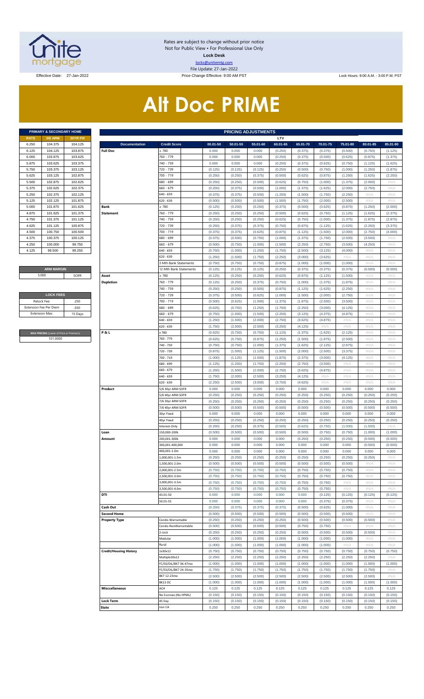

Rates are subject to change without prior notice Not for Public View • For Professional Use Only **Lock Desk** locks@unitemtg.com File Update: 27-Jan-2022

Effective Date: 27-Jan-2022 Price Change Effective: 9:00 AM PST Lock Hours: 9:00 A.M. - 3:00 P.M. PST

# **Alt Doc PRIME**

|             | <b>PRIMARY &amp; SECONDARY HOME</b> |                 |
|-------------|-------------------------------------|-----------------|
| <b>RATE</b> | <b>5/6 ARM</b>                      | <b>30YR FIX</b> |
| 6.250       | 104.375                             | 104.125         |
| 6.125       | 104.125                             | 103.875         |
| 6.000       | 103.875                             | 103.625         |
| 5.875       | 103.625                             | 103.375         |
| 5.750       | 103.375                             | 103.125         |
| 5.625       | 103.125                             | 102.875         |
| 5.500       | 102.875                             | 102.625         |
| 5.375       | 102.625                             | 102.375         |
| 5.250       | 102.375                             | 102.125         |
| 5.125       | 102.125                             | 101.875         |
| 5.000       | 101.875                             | 101.625         |
| 4.875       | 101.625                             | 101.375         |
| 4.750       | 101.375                             | 101.125         |
| 4.625       | 101.125                             | 100.875         |
| 4.500       | 100.750                             | 100.500         |
| 4.375       | 100.375                             | 100.125         |
| 4.250       | 100.000                             | 99.750          |
| 4.125       | 99.500                              | 99.250          |

#### **ARM MARGIN** 5.000

| <b>LOCK FEES</b>              |         |  |  |  |  |  |  |  |  |
|-------------------------------|---------|--|--|--|--|--|--|--|--|
| Relock Fee:                   | .250    |  |  |  |  |  |  |  |  |
| <b>Extension Fee Per Diem</b> | .030    |  |  |  |  |  |  |  |  |
| <b>Fxtension Max:</b>         | 15 Days |  |  |  |  |  |  |  |  |
|                               |         |  |  |  |  |  |  |  |  |

**MAX PRICING** (Lower of Price or Premium) 101.0000

|                | PRIMARY & SECONDARY HOME                |                    |                                         |                                        |                    | <b>PRICING ADJUSTMENTS</b> |                    |                     |                     |                     |                     |                     |                     |
|----------------|-----------------------------------------|--------------------|-----------------------------------------|----------------------------------------|--------------------|----------------------------|--------------------|---------------------|---------------------|---------------------|---------------------|---------------------|---------------------|
| RATE           | <b>5/6 ARM</b>                          | <b>30YR FIX</b>    |                                         |                                        |                    |                            |                    | LTV                 |                     |                     |                     |                     |                     |
| 6.250<br>6.125 | 104.375<br>104.125                      | 104.125<br>103.875 | <b>Documentation</b><br><b>Full Doc</b> | <b>Credit Score</b><br>780             | 00.01-50<br>0.000  | 50.01-55<br>0.000          | 55.01-60<br>0.000  | 60.01-65<br>(0.250) | 65.01-70<br>(0.375) | 70.01-75<br>(0.375) | 75.01-80<br>(0.500) | 80.01-85<br>(0.750) | 85.01-90<br>(1.125) |
| 6.000          | 103.875                                 | 103.625            |                                         | 760 - 779                              | 0.000              | 0.000                      | 0.000              | (0.250)             | (0.375)             | (0.500)             | (0.625)             | (0.875)             | (1.375)             |
| 5.875          | 103.625                                 | 103.375            |                                         | 740 - 759                              | 0.000              | 0.000                      | 0.000              | (0.250)             | (0.375)             | (0.625)             | (0.750)             | (1.125)             | (1.625)             |
| 5.750          | 103.375                                 | 103.125            |                                         | 720 - 739                              | (0.125)            | (0.125)                    | (0.125)            | (0.250)             | (0.500)             | (0.750)             | (1.000)             | (1.250)             | (1.875)             |
| 5.625          | 103.125                                 | 102.875            |                                         | 700 - 719                              | (0.250)            | (0.250)                    | (0.375)            | (0.500)             | (0.625)             | (0.875)             | (1.250)             | (1.625)             | (2.250)             |
| 5.500          | 102.875                                 | 102.625            |                                         | 580 - 699                              | (0.250)            | (0.250)                    | (0.500)            | (0.625)             | (0.750)             | (1.000)             | (1.375)             | (2.000)             | #N/A                |
| 5.375<br>5.250 | 102.625<br>102.375                      | 102.375<br>102.125 |                                         | 560 - 679<br>640 - 659                 | (0.250)<br>(0.375) | (0.375)<br>(0.375)         | (0.500)<br>(0.500) | (1.000)<br>(1.250)  | (1.375)<br>(1.500)  | (1.625)<br>(1.750)  | (2.000)<br>(2.250)  | (2.750)<br>$\#N/A$  | #N/A<br>#N/A        |
| 5.125          | 102.125                                 | 101.875            |                                         | 620 - 639                              | (0.500)            | (0.500)                    | (0.500)            | (1.500)             | (1.750)             | (2.000)             | (2.500)             | #N/A                | #N/A                |
| 5.000          | 101.875                                 | 101.625            | Bank                                    | 780                                    | (0.125)            | (0.250)                    | (0.250)            | (0.375)             | (0.500)             | (0.625)             | (0.875)             | (1.250)             | (2.000)             |
| 4.875          | 101.625                                 | 101.375            | <b>Statement</b>                        | 760 - 779                              | (0.250)            | (0.250)                    | (0.250)            | (0.500)             | (0.625)             | (0.750)             | (1.125)             | (1.625)             | (2.375)             |
| 4.750          | 101.375                                 | 101.125            |                                         | '40 - 759                              | (0.250)            | (0.250)                    | (0.250)            | (0.625)             | (0.750)             | (1.000)             | (1.375)             | (1.875)             | (2.875)             |
| 4.625          | 101.125                                 | 100.875            |                                         | 720 - 739                              | (0.250)            | (0.375)                    | (0.375)            | (0.750)             | (0.875)             | (1.125)             | (1.625)             | (2.250)             | (3.375)             |
| 4.500          | 100.750                                 | 100.500            |                                         | 700 - 719                              | (0.375)            | (0.375)                    | (0.625)            | (0.875)             | (1.125)             | (1.500)             | (2.000)             | (2.750)             | (4.000)             |
| 4.375<br>4.250 | 100.375<br>100.000                      | 100.125<br>99.750  |                                         | 580 - 699<br>560 - 679                 | (0.375)<br>(0.500) | (0.500)<br>(0.750)         | (0.750)<br>(1.000) | (1.000)<br>(1.500)  | (1.375)<br>(2.250)  | (1.750)<br>(2.750)  | (2.500)<br>(3.500)  | (3.500)<br>(4.250)  | #N/A<br>#N/A        |
| 4.125          | 99.500                                  | 99.250             |                                         | 640 - 659                              | (0.750)            | (1.000)                    | (1.250)            | (1.750)             | (2.500)             | (3.125)             | (4.000)             | #N/A                | #N/A                |
|                |                                         |                    |                                         | 620 - 639                              | (1.250)            | (1.500)                    | (1.750)            | (2.250)             | (3.000)             | (3.625)             | $\#\mathsf{N}/\ell$ | $\#N/A$             | #N/A                |
|                |                                         |                    |                                         | <b>Mth Bank Statements</b>             | (0.750)            | (0.750)                    | (0.750)            | (0.875)             | (1.000)             | (1.000)             | (1.000)             | #N/A                | #N/A                |
|                | <b>ARM MARGIN</b>                       |                    |                                         | 12 Mth Bank Statements                 | (0.125)            | (0.125)                    | (0.125)            | (0.250)             | (0.375)             | (0.375)             | (0.375)             | (0.500)             | (0.500)             |
|                | 5.000                                   | SOFR               | Asset                                   | : 780                                  | (0.125)            | (0.250)                    | (0.250)            | (0.625)             | (0.875)             | (1.125)             | (1.500)             | #N/A                | #N/A                |
|                |                                         |                    | <b>Depletion</b>                        | 760 - 779                              | (0.125)            | (0.250)                    | (0.375)            | (0.750)             | (1.000)             | (1.375)             | (1.875)             | #N/A                | #N/A                |
|                | <b>LOCK FEES</b>                        |                    |                                         | 740 - 759                              | (0.250)            | (0.250)                    | (0.500)            | (0.875)             | (1.125)             | (1.625)             | (2.250)             | #N/A                | #N/A                |
|                | Relock Fee:                             | .250               |                                         | 720 - 739<br>700 - 719                 | (0.375)<br>(0.500) | (0.500)<br>(0.625)         | (0.625)<br>(1.000) | (1.000)<br>(1.375)  | (1.500)<br>(1.875)  | (2.000)<br>(2.500)  | (2.750)<br>(3.500)  | #N/A<br>#N/A        | #N/A<br>#N/A        |
|                | xtension Fee Per Diem                   | .030               |                                         | 680 - 699                              | (0.625)            | (0.750)                    | (1.250)            | (1.750)             | (2.250)             | (3.000)             | (4.125)             | #N/A                | #N/A                |
| Extension Max: |                                         | 15 Days            |                                         | 660 - 679                              | (0.750)            | (1.000)                    | (1.500)            | (2.250)             | (3.125)             | (4.375)             | (4.875)             | #N/A                | #N/A                |
|                |                                         |                    |                                         | 640 - 659                              | (1.250)            | (1.500)                    | (2.000)            | (2.750)             | (3.625)             | (4.875)             | #N/A                | #N/A                | #N/A                |
|                |                                         |                    |                                         | 620 - 639                              | (1.750)            | (2.000)                    | (2.500)            | (3.250)             | (4.125)             | #N/A                | $\#N/A$             | #N/A                | #N/A                |
|                | MAX PRICING (Lower of Price or Premium) |                    | P&L                                     | :780                                   | (0.625)            | (0.750)                    | (0.750)            | (1.125)             | (1.375)             | (1.625)             | (2.125)             | #N/A                | #N/A                |
|                | 101.0000                                |                    |                                         | 760 - 779                              | (0.625)            | (0.750)                    | (0.875)            | (1.250)             | (1.500)             | (1.875)             | (2.500)             | #N/A                | #N/A                |
|                |                                         |                    |                                         | 740 - 759<br>720 - 739                 | (0.750)<br>(0.875) | (0.750)<br>(1.000)         | (1.000)<br>(1.125) | (1.375)<br>(1.500)  | (1.625)<br>(2.000)  | (2.125)<br>(2.500)  | (2.875)<br>(3.375)  | #N/A<br>#N/A        | #N/A<br>#N/A        |
|                |                                         |                    |                                         | 700 - 719                              | (1.000)            | (1.125)                    | (1.500)            | (1.875)             | (2.375)             | (3.000)             | (4.125)             | #N/A                | #N/A                |
|                |                                         |                    |                                         | 680 - 699                              | (1.125)            | (1.250)                    | (1.750)            | (2.250)             | (2.750)             | (3.500)             | $\#N/A$             | #N/A                | #N/A                |
|                |                                         |                    |                                         | 660 - 679                              | (1.250)            | (1.500)                    | (2.000)            | (2.750)             | (3.625)             | (4.875)             | #N/A                | #N/A                | #N/A                |
|                |                                         |                    |                                         | 640 - 659                              | (1.750)            | (2.000)                    | (2.500)            | (3.250)             | (4.125)             | #N/A                | $\#N/A$             | #N/A                | #N/A                |
|                |                                         |                    |                                         | 620 - 639                              | (2.250)            | (2.500)                    | (3.000)            | (3.750)             | (4.625)             | #N/A                | #N/A                | #N/A                | #N/A                |
|                |                                         |                    | Product                                 | 5/6 30yr ARM SOFR                      | 0.000              | 0.000                      | 0.000              | 0.000               | 0.000               | 0.000               | 0.000               | 0.000               | 0.000               |
|                |                                         |                    |                                         | 5/6 40yr ARM SOFR<br>7/6 30yr ARM SOFR | (0.250)<br>(0.250) | (0.250)<br>(0.250)         | (0.250)<br>(0.250) | (0.250)<br>(0.250)  | (0.250)<br>(0.250)  | (0.250)<br>(0.250)  | (0.250)<br>(0.250)  | (0.250)<br>(0.250)  | (0.250)<br>(0.250)  |
|                |                                         |                    |                                         | 7/6 40yr ARM SOFR                      | (0.500)            | (0.500)                    | (0.500)            | (0.500)             | (0.500)             | (0.500)             | (0.500)             | (0.500)             | (0.500)             |
|                |                                         |                    |                                         | 30yr Fixed                             | 0.000              | 0.000                      | 0.000              | 0.000               | 0.000               | 0.000               | 0.000               | 0.000               | 0.000               |
|                |                                         |                    |                                         | 40yr Fixed                             | (0.250)            | (0.250)                    | (0.250)            | (0.250)             | (0.250)             | (0.250)             | (0.250)             | (0.250)             | (0.250)             |
|                |                                         |                    |                                         | nterest-Only                           | (0.250)            | (0.250)                    | (0.375)            | (0.500)             | (0.625)             | (0.750)             | (1.000)             | (1.500)             | #N/A                |
|                |                                         |                    | Loan                                    | 150,000-200k                           | (0.500)            | (0.500)                    | (0.500)            | (0.500)             | (0.500)             | (0.750)             | (0.750)             | (1.000)             | (1.000)             |
|                |                                         |                    | Amount                                  | 200,001-300k                           | 0.000              | 0.000                      | 0.000              | 0.000               | (0.250)             | (0.250)             | (0.250)             | (0.500)             | (0.500)             |
|                |                                         |                    |                                         | 300,001-400,000                        | 0.000              | 0.000                      | 0.000              | 0.000               | 0.000               | 0.000               | 0.000               | (0.500)             | (0.500)<br>0.000    |
|                |                                         |                    |                                         | 400,001-1.0m<br>,000,001-1.5m          | 0.000<br>(0.250)   | 0.000<br>(0.250)           | 0.000<br>(0.250)   | 0.000<br>(0.250)    | 0.000<br>(0.250)    | 0.000<br>(0.250)    | 0.000<br>(0.250)    | 0.000<br>(0.250)    | #N/A                |
|                |                                         |                    |                                         | ,500,001-2.0m                          | (0.500)            | (0.500)                    | (0.500)            | (0.500)             | (0.500)             | (0.500)             | (0.500)             | #N/A                | #N/A                |
|                |                                         |                    |                                         | ,000,001-2.5m                          | (0.750)            | (0.750)                    | (0.750)            | (0.750)             | (0.750)             | (0.750)             | (0.750)             | #N/A                | #N/A                |
|                |                                         |                    |                                         | ,500,001-3.0m                          | (0.750)            | (0.750)                    | (0.750)            | (0.750)             | (0.750)             | (0.750)             | (0.750)             | #N/A                | #N/A                |
|                |                                         |                    |                                         | ,000,001-3.5m                          | (0.750)            | (0.750)                    | (0.750)            | (0.750)             | (0.750)             | (0.750)             | #N/A                | #N/A                | #N/A                |
|                |                                         |                    |                                         | ,500,001-4.0m                          | (0.750)            | (0.750)                    | (0.750)            | (0.750)             | (0.750)             | (0.750)             | $\#N/A$             | #N/A                | #N/A                |
|                |                                         |                    | DTI                                     | 43.01-50<br>50.01-55                   | 0.000<br>0.000     | 0.000<br>0.000             | 0.000<br>0.000     | 0.000<br>0.000      | 0.000<br>0.000      | (0.125)<br>(0.375)  | (0.125)<br>(0.375)  | (0.125)<br>#N/A     | (0.125)<br>#N/A     |
|                |                                         |                    | Cash Out                                |                                        | (0.250)            | (0.375)                    | (0.375)            | (0.375)             | (0.500)             | (0.625)             | (1.000)             | #N/A                | #N/A                |
|                |                                         |                    | <b>Second Home</b>                      |                                        | (0.500)            | (0.500)                    | (0.500)            | (0.500)             | (0.500)             | (0.500)             | (0.500)             | #N/A                | #N/A                |
|                |                                         |                    | Property Type                           | Condo-Warrantable                      | (0.250)            | (0.250)                    | (0.250)            | (0.250)             | (0.500)             | (0.500)             | (0.500)             | (0.500)             | #N/A                |
|                |                                         |                    |                                         | Condo-NonWarrantable                   | (0.500)            | (0.500)                    | (0.500)            | (0.500)             | (0.750)             | (0.750)             | #N/A                | #N/A                | #N/A                |
|                |                                         |                    |                                         | 2-Unit                                 | (0.250)            | (0.250)                    | (0.250)            | (0.250)             | (0.500)             | (0.500)             | (0.500)             | (0.500)             | #N/A                |
|                |                                         |                    |                                         | Modular                                | (1.000)            | (1.000)                    | (1.000)            | (1.000)             | (1.000)             | (1.000)             | (1.000)             | #N/A                | #N/A                |
|                |                                         |                    |                                         | Rural<br>Lx30x12                       | (1.000)<br>(0.750) | (1.000)<br>(0.750)         | (1.000)<br>(0.750) | (1.000)<br>(0.750)  | (1.000)<br>(0.750)  | (1.000)<br>(0.750)  | #N/A<br>(0.750)     | #N/A<br>(0.750)     | #N/A<br>(0.750)     |
|                |                                         |                    | <b>Credit/Housing History</b>           | Multiple30x12                          | (2.250)            | (2.250)                    | (2.250)            | (2.250)             | (2.250)             | (2.250)             | (2.250)             | (2.250)             | #N/A                |
|                |                                         |                    |                                         | FC/SS/DIL/BK7 36-47mo                  | (1.000)            | (1.000)                    | (1.000)            | (1.000)             | (1.000)             | (1.000)             | (1.000)             | (1.000)             | (1.000)             |
|                |                                         |                    |                                         | FC/SS/DIL/BK7 24-35mo                  | (1.750)            | (1.750)                    | (1.750)            | (1.750)             | (1.750)             | (1.750)             | (1.750)             | (1.750)             | #N/A                |
|                |                                         |                    |                                         | BK7 12-23mo                            | (2.500)            | (2.500)                    | (2.500)            | (2.500)             | (2.500)             | (2.500)             | (2.500)             | (2.500)             | #N/A                |
|                |                                         |                    |                                         | BK13 DC                                | (1.000)            | (1.000)                    | (1.000)            | (1.000)             | (1.000)             | (1.000)             | (1.000)             | (1.000)             | (1.000)             |
|                |                                         |                    | <b>Misccellaneous</b>                   | ACH                                    | 0.125              | 0.125                      | 0.125              | 0.125               | 0.125               | 0.125               | 0.125               | 0.125               | 0.125               |
|                |                                         |                    |                                         | No Escrows (No HPML)                   | (0.150)            | (0.150)                    | (0.150)            | (0.150)             | (0.150)             | (0.150)             | (0.150)             | (0.150)             | (0.150)             |
|                |                                         |                    | <b>Lock Term</b><br>State               | 45 Day<br>non CA                       | (0.150)<br>0.250   | (0.150)<br>0.250           | (0.150)<br>0.250   | (0.150)<br>0.250    | (0.150)<br>0.250    | (0.150)<br>0.250    | (0.150)<br>0.250    | (0.150)<br>0.250    | (0.150)<br>0.250    |
|                |                                         |                    |                                         |                                        |                    |                            |                    |                     |                     |                     |                     |                     |                     |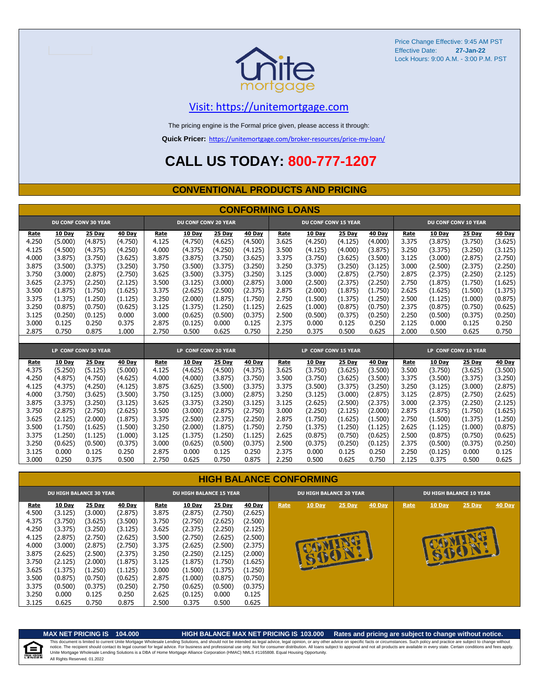

#### [V](https://unitemortgage.com/)isit: https://unitemortgage.com

The pricing engine is the Formal price given, please access it through:

**Quick Pricer:** [https://un](https://unitemortgage.com/broker-resources/price-my-loan/)itemortgage.com/broker-resources/price-my-loan/

### **CALL US TODAY: 800-777-1207**

#### **CONVENTIONAL PRODUCTS AND PRICING**

|       | <b>CONFORMING LOANS</b> |                             |         |       |                             |         |         |                      |                             |         |         |       |                      |         |               |  |
|-------|-------------------------|-----------------------------|---------|-------|-----------------------------|---------|---------|----------------------|-----------------------------|---------|---------|-------|----------------------|---------|---------------|--|
|       |                         | <b>DU CONF CONV 30 YEAR</b> |         |       | <b>DU CONF CONV 20 YEAR</b> |         |         |                      | <b>DU CONF CONV 15 YEAR</b> |         |         |       | DU CONF CONV 10 YEAR |         |               |  |
| Rate  | 10 Day                  | 25 Day                      | 40 Day  | Rate  | 10 Day                      | 25 Day  | 40 Day  | Rate                 | 10 Day                      | 25 Day  | 40 Day  | Rate  | 10 Day               | 25 Day  | <b>40 Day</b> |  |
| 4.250 | (5.000)                 | (4.875)                     | (4.750) | 4.125 | (4.750)                     | (4.625) | (4.500) | 3.625                | (4.250)                     | (4.125) | (4.000) | 3.375 | (3.875)              | (3.750) | (3.625)       |  |
| 4.125 | (4.500)                 | (4.375)                     | (4.250) | 4.000 | (4.375)                     | (4.250) | (4.125) | 3.500                | (4.125)                     | (4.000) | (3.875) | 3.250 | (3.375)              | (3.250) | (3.125)       |  |
| 4.000 | (3.875)                 | (3.750)                     | (3.625) | 3.875 | (3.875)                     | (3.750) | (3.625) | 3.375                | (3.750)                     | (3.625) | (3.500) | 3.125 | (3.000)              | (2.875) | (2.750)       |  |
| 3.875 | (3.500)                 | (3.375)                     | (3.250) | 3.750 | (3.500)                     | (3.375) | (3.250) | 3.250                | (3.375)                     | (3.250) | (3.125) | 3.000 | (2.500)              | (2.375) | (2.250)       |  |
| 3.750 | (3.000)                 | (2.875)                     | (2.750) | 3.625 | (3.500)                     | (3.375) | (3.250) | 3.125                | (3.000)                     | (2.875) | (2.750) | 2.875 | (2.375)              | (2.250) | (2.125)       |  |
| 3.625 | (2.375)                 | (2.250)                     | (2.125) | 3.500 | (3.125)                     | (3.000) | (2.875) | 3.000                | (2.500)                     | (2.375) | (2.250) | 2.750 | (1.875)              | (1.750) | (1.625)       |  |
| 3.500 | (1.875)                 | (1.750)                     | (1.625) | 3.375 | (2.625)                     | (2.500) | (2.375) | 2.875                | (2.000)                     | (1.875) | (1.750) | 2.625 | (1.625)              | (1.500) | (1.375)       |  |
| 3.375 | (1.375)                 | (1.250)                     | (1.125) | 3.250 | (2.000)                     | (1.875) | (1.750) | 2.750                | (1.500)                     | (1.375) | (1.250) | 2.500 | (1.125)              | (1.000) | (0.875)       |  |
| 3.250 | (0.875)                 | (0.750)                     | (0.625) | 3.125 | (1.375)                     | (1.250) | (1.125) | 2.625                | (1.000)                     | (0.875) | (0.750) | 2.375 | (0.875)              | (0.750) | (0.625)       |  |
| 3.125 | (0.250)                 | (0.125)                     | 0.000   | 3.000 | (0.625)                     | (0.500) | (0.375) | 2.500                | (0.500)                     | (0.375) | (0.250) | 2.250 | (0.500)              | (0.375) | (0.250)       |  |
| 3.000 | 0.125                   | 0.250                       | 0.375   | 2.875 | (0.125)                     | 0.000   | 0.125   | 2.375                | 0.000                       | 0.125   | 0.250   | 2.125 | 0.000                | 0.125   | 0.250         |  |
| 2.875 | 0.750                   | 0.875                       | 1.000   | 2.750 | 0.500                       | 0.625   | 0.750   | 2.250                | 0.375                       | 0.500   | 0.625   | 2.000 | 0.500                | 0.625   | 0.750         |  |
|       |                         |                             |         |       |                             |         |         |                      |                             |         |         |       |                      |         |               |  |
|       |                         | LP CONF CONV 30 YEAR        |         |       | LP CONF CONV 20 YEAR        |         |         | LP CONF CONV 15 YEAR |                             |         |         |       | LP CONF CONV 10 YEAR |         |               |  |
| Rate  | 10 Dav                  | 25 Day                      | 40 Day  | Rate  | 10 Day                      | 25 Day  | 40 Day  | Rate                 | 10 Day                      | 25 Day  | 40 Day  | Rate  | 10 Day               | 25 Day  | 40 Day        |  |
| 4.375 | (5.250)                 | (5.125)                     | (5.000) | 4.125 | (4.625)                     | (4.500) | (4.375) | 3.625                | (3.750)                     | (3.625) | (3.500) | 3.500 | (3.750)              | (3.625) | (3.500)       |  |
| 4.250 | (4.875)                 | (4.750)                     | (4.625) | 4.000 | (4.000)                     | (3.875) | (3.750) | 3.500                | (3.750)                     | (3.625) | (3.500) | 3.375 | (3.500)              | (3.375) | (3.250)       |  |
| 4.125 | (4.375)                 | (4.250)                     | (4.125) | 3.875 | (3.625)                     | (3.500) | (3.375) | 3.375                | (3.500)                     | (3.375) | (3.250) | 3.250 | (3.125)              | (3.000) | (2.875)       |  |
| 4.000 | (3.750)                 | (3.625)                     | (3.500) | 3.750 | (3.125)                     | (3,000) | (2.875) | 3.250                | (3.125)                     | (3.000) | (2.875) | 3.125 | (2.875)              | (2.750) | (2.625)       |  |
| 3.875 | (3.375)                 | (3.250)                     | (3.125) | 3.625 | (3.375)                     | (3.250) | (3.125) | 3.125                | (2.625)                     | (2.500) | (2.375) | 3.000 | (2.375)              | (2.250) | (2.125)       |  |
| 3.750 | (2.875)                 | (2.750)                     | (2.625) | 3.500 | (3.000)                     | (2.875) | (2.750) | 3.000                | (2.250)                     | (2.125) | (2.000) | 2.875 | (1.875)              | (1.750) | (1.625)       |  |
| 3.625 | (2.125)                 | (2.000)                     | (1.875) | 3.375 | (2.500)                     | (2.375) | (2.250) | 2.875                | (1.750)                     | (1.625) | (1.500) | 2.750 | (1.500)              | (1.375) | (1.250)       |  |
| 3.500 | (1.750)                 | (1.625)                     | (1.500) | 3.250 | (2.000)                     | (1.875) | (1.750) | 2.750                | (1.375)                     | (1.250) | (1.125) | 2.625 | (1.125)              | (1.000) | (0.875)       |  |
| 3.375 | (1.250)                 | (1.125)                     | (1.000) | 3.125 | (1.375)                     | (1.250) | (1.125) | 2.625                | (0.875)                     | (0.750) | (0.625) | 2.500 | (0.875)              | (0.750) | (0.625)       |  |
| 3.250 | (0.625)                 | (0.500)                     | (0.375) | 3.000 | (0.625)                     | (0.500) | (0.375) | 2.500                | (0.375)                     | (0.250) | (0.125) | 2.375 | (0.500)              | (0.375) | (0.250)       |  |
| 3.125 | 0.000                   | 0.125                       | 0.250   | 2.875 | 0.000                       | 0.125   | 0.250   | 2.375                | 0.000                       | 0.125   | 0.250   | 2.250 | (0.125)              | 0.000   | 0.125         |  |
| 3.000 | 0.250                   | 0.375                       | 0.500   | 2.750 | 0.625                       | 0.750   | 0.875   | 2.250                | 0.500                       | 0.625   | 0.750   | 2.125 | 0.375                | 0.500   | 0.625         |  |

#### **HIGH BALANCE CONFORMING**

| <b>DU HIGH BALANCE 30 YEAR</b> |               |         |         | <b>DU HIGH BALANCE 15 YEAR</b> |               |         |               |      | <b>DU HIGH BALANCE 20 YEAR</b> |               |        |      | <b>DU HIGH BALANCE 10 YEAR</b> |          |               |  |  |
|--------------------------------|---------------|---------|---------|--------------------------------|---------------|---------|---------------|------|--------------------------------|---------------|--------|------|--------------------------------|----------|---------------|--|--|
| Rate                           | <b>10 Day</b> | 25 Day  | 40 Day  | Rate                           | <b>10 Day</b> | 25 Day  | <b>40 Day</b> | Rate | <b>10 Day</b>                  | <b>25 Day</b> | 40 Day | Rate | <b>10 Day</b>                  | $25$ Day | <b>40 Day</b> |  |  |
| 4.500                          | (3.125)       | (3.000) | (2.875) | 3.875                          | (2.875)       | (2.750) | (2.625)       |      |                                |               |        |      |                                |          |               |  |  |
| 4.375                          | (3.750)       | (3.625) | (3.500) | 3.750                          | (2.750)       | (2.625) | (2.500)       |      |                                |               |        |      |                                |          |               |  |  |
| 4.250                          | (3.375)       | (3.250) | (3.125) | 3.625                          | (2.375)       | (2.250) | (2.125)       |      |                                |               |        |      |                                |          |               |  |  |
| 4.125                          | (2.875)       | (2.750) | (2.625) | 3.500                          | (2.750)       | (2.625) | (2.500)       |      |                                |               |        |      |                                |          |               |  |  |
| 4.000                          | (3.000)       | (2.875) | (2.750) | 3.375                          | (2.625)       | (2.500) | (2.375)       |      |                                |               |        |      |                                |          |               |  |  |
| 3.875                          | (2.625)       | (2.500) | (2.375) | 3.250                          | (2.250)       | (2.125) | (2.000)       |      |                                |               |        |      | B                              | E        |               |  |  |
| 3.750                          | (2.125)       | (2.000) | (1.875) | 3.125                          | (1.875)       | (1.750) | (1.625)       |      | <b>ALLES</b>                   |               |        |      |                                |          |               |  |  |
| 3.625                          | (1.375)       | (1.250) | (1.125) | 3.000                          | (1.500)       | (1.375) | (1.250)       |      |                                |               |        |      |                                |          |               |  |  |
| 3.500                          | (0.875)       | (0.750) | (0.625) | 2.875                          | (1.000)       | (0.875) | (0.750)       |      |                                |               |        |      |                                |          |               |  |  |
| 3.375                          | (0.500)       | (0.375) | (0.250) | 2.750                          | (0.625)       | (0.500) | (0.375)       |      |                                |               |        |      |                                |          |               |  |  |
| 3.250                          | 0.000         | 0.125   | 0.250   | 2.625                          | (0.125)       | 0.000   | 0.125         |      |                                |               |        |      |                                |          |               |  |  |
| 3.125                          | 0.625         | 0.750   | 0.875   | 2.500                          | 0.375         | 0.500   | 0.625         |      |                                |               |        |      |                                |          |               |  |  |

自

#### **MAX NET PRICING IS 104.000 HIGH BALANCE MAX NET PRICING IS 103.000 Rates and pricing are subject to change without notice.**

All Rights Reserved. 01.2022 This document is limited to current Unite Mortgage Wholesale Lending Solutions, and should not be intended as legal advice, legal opinion, or any other advice on specific facts or circumstances. Such policy and practice ar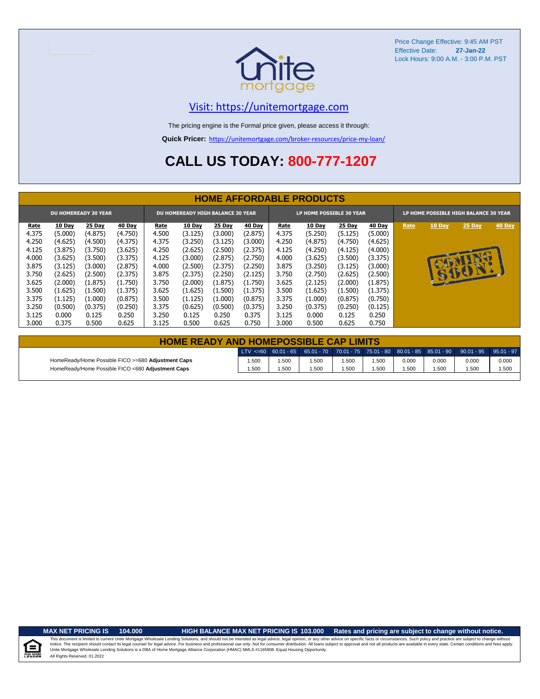

#### [V](https://unitemortgage.com/)isit: https://unitemortgage.com

The pricing engine is the Formal price given, please access it through:

**Quick Pricer:** [https://un](https://unitemortgage.com/broker-resources/price-my-loan/)itemortgage.com/broker-resources/price-my-loan/

### **CALL US TODAY: 800-777-1207**

|             | <b>HOME AFFORDABLE PRODUCTS</b> |                             |               |       |                                          |         |               |       |                          |          |               |                                       |               |          |        |
|-------------|---------------------------------|-----------------------------|---------------|-------|------------------------------------------|---------|---------------|-------|--------------------------|----------|---------------|---------------------------------------|---------------|----------|--------|
|             |                                 | <b>DU HOMEREADY 30 YEAR</b> |               |       | <b>DU HOMEREADY HIGH BALANCE 30 YEAR</b> |         |               |       | LP HOME POSSIBLE 30 YEAR |          |               | LP HOME POSSIBLE HIGH BALANCE 30 YEAR |               |          |        |
| <u>Rate</u> | <b>10 Day</b>                   | 25 Day                      | <b>40 Day</b> | Rate  | <b>10 Day</b>                            | 25 Day  | <b>40 Day</b> | Rate  | 10 Day                   | $25$ Day | <b>40 Day</b> | Rate                                  | <b>10 Day</b> | $25$ Day | 40 Day |
| 4.375       | (5.000)                         | (4.875)                     | (4.750)       | 4.500 | (3.125)                                  | (3.000) | (2.875)       | 4.375 | (5.250)                  | (5.125)  | (5.000)       |                                       |               |          |        |
| 4.250       | (4.625)                         | (4.500)                     | (4.375)       | 4.375 | (3.250)                                  | (3.125) | (3.000)       | 4.250 | (4.875)                  | (4.750)  | (4.625)       |                                       |               |          |        |
| 4.125       | (3.875)                         | (3.750)                     | (3.625)       | 4.250 | (2.625)                                  | (2.500) | (2.375)       | 4.125 | (4.250)                  | (4.125)  | (4.000)       |                                       |               |          |        |
| 4.000       | (3.625)                         | (3.500)                     | (3.375)       | 4.125 | (3.000)                                  | (2.875) | (2.750)       | 4.000 | (3.625)                  | (3.500)  | (3.375)       |                                       |               | NU       |        |
| 3.875       | (3.125)                         | (3.000)                     | (2.875)       | 4.000 | (2.500)                                  | (2.375) | (2.250)       | 3.875 | (3.250)                  | (3.125)  | (3.000)       |                                       | $\mathbf{A}$  |          |        |
| 3.750       | (2.625)                         | (2.500)                     | (2.375)       | 3.875 | (2.375)                                  | (2.250) | (2.125)       | 3.750 | (2.750)                  | (2.625)  | (2.500)       |                                       |               | 15001.   |        |
| 3.625       | (2.000)                         | (1.875)                     | (1.750)       | 3.750 | (2.000)                                  | (1.875) | (1.750)       | 3.625 | (2.125)                  | (2.000)  | (1.875)       |                                       |               |          |        |
| 3.500       | (1.625)                         | (1.500)                     | (1.375)       | 3.625 | (1.625)                                  | (1.500) | (1.375)       | 3.500 | (1.625)                  | (1.500)  | (1.375)       |                                       |               |          |        |
| 3.375       | (1.125)                         | (1.000)                     | (0.875)       | 3.500 | (1.125)                                  | (1.000) | (0.875)       | 3.375 | (1.000)                  | (0.875)  | (0.750)       |                                       |               |          |        |
| 3.250       | (0.500)                         | (0.375)                     | (0.250)       | 3.375 | (0.625)                                  | (0.500) | (0.375)       | 3.250 | (0.375)                  | (0.250)  | (0.125)       |                                       |               |          |        |
| 3.125       | 0.000                           | 0.125                       | 0.250         | 3.250 | 0.125                                    | 0.250   | 0.375         | 3.125 | 0.000                    | 0.125    | 0.250         |                                       |               |          |        |
| 3.000       | 0.375                           | 0.500                       | 0.625         | 3.125 | 0.500                                    | 0.625   | 0.750         | 3.000 | 0.500                    | 0.625    | 0.750         |                                       |               |          |        |

| <b>HOME READY AND HOMEPOSSIBLE CAP LIMITS</b>      |       |      |      |       |       |       |       |                                                                                                           |       |  |  |
|----------------------------------------------------|-------|------|------|-------|-------|-------|-------|-----------------------------------------------------------------------------------------------------------|-------|--|--|
|                                                    |       |      |      |       |       |       |       | 0.01 − 1 − 35 − 36.01 − 37 − 38.01 − 37.01 − 38.01 − 38.01 − 38.01 − 38.01 − 39.01 − 39.01 − 39.01 − 37 € |       |  |  |
| HomeReady/Home Possible FICO >=680 Adjustment Caps | 1.500 | .500 | .500 | 1.500 | 1.500 | 0.000 | 0.000 | 0.000                                                                                                     | 0.000 |  |  |
| HomeReady/Home Possible FICO <680 Adjustment Caps  | 1.500 | .500 | .500 | 1.500 | 1.500 | .500  | 1.500 | .500                                                                                                      | 1.500 |  |  |

.<br>N. Hou

**MAX NET PRICING IS 104.000 HIGH BALANCE MAX NET PRICING IS 103.000 Rates and pricing are subject to change without notice.**

All Rights Reserved. 01.2022 This document is limited to current Unite Mortgage Wholesale Lending Solutions, and should not be intended as legal advice, legal opinion, or any other advice on specific facts or circumstances. Such policy and practice ar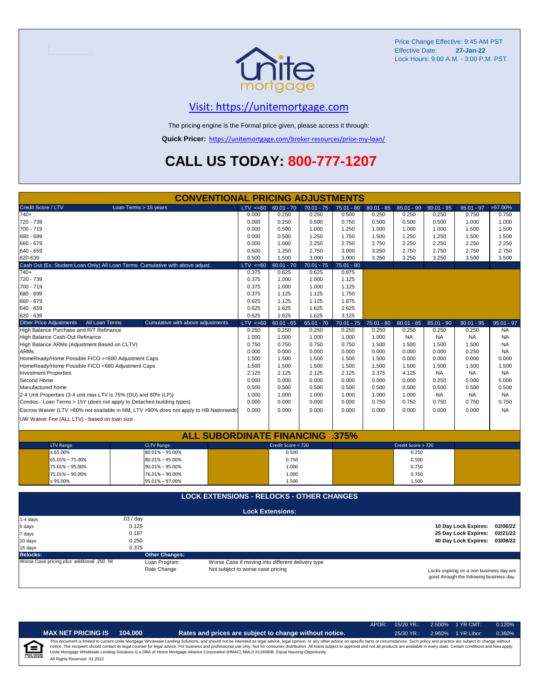

### [V](https://unitemortgage.com/)isit: https://unitemortgage.com

The pricing engine is the Formal price given, please access it through:

**Quick Pricer:** [https://un](https://unitemortgage.com/broker-resources/price-my-loan/)itemortgage.com/broker-resources/price-my-loan/

### **CALL US TODAY: 800-777-1207**

| <b>CONVENTIONAL PRICING ADJUSTMENTS</b>                                                |                                   |                                                   |              |              |              |                    |              |                                          |              |  |
|----------------------------------------------------------------------------------------|-----------------------------------|---------------------------------------------------|--------------|--------------|--------------|--------------------|--------------|------------------------------------------|--------------|--|
| Credit Score / LTV<br>Loan Terms > 15 years                                            | LTV < 60                          | $60.01 - 70$                                      | $70.01 - 75$ | $75.01 - 80$ | $80.01 - 85$ | $85.01 - 90$       | $90.01 - 95$ | $95.01 - 97$                             | >97.00%      |  |
| $740+$                                                                                 | 0.000                             | 0.250                                             | 0.250        | 0.500        | 0.250        | 0.250              | 0.250        | 0.750                                    | 0.750        |  |
| 720 - 739                                                                              | 0.000                             | 0.250                                             | 0.500        | 0.750        | 0.500        | 0.500              | 0.500        | 1.000                                    | 1.000        |  |
| 700 - 719                                                                              | 0.000                             | 0.500                                             | 1.000        | 1.250        | 1.000        | 1.000              | 1.000        | 1.500                                    | 1.500        |  |
| 680 - 699                                                                              | 0.000                             | 0.500                                             | 1.250        | 1.750        | 1.500        | 1.250              | 1.250        | 1.500                                    | 1.500        |  |
| 660 - 679                                                                              | 0.000                             | 1.000                                             | 2.250        | 2.750        | 2.750        | 2.250              | 2.250        | 2.250                                    | 2.250        |  |
| 640 - 659                                                                              | 0.500                             | 1.250                                             | 2.750        | 3.000        | 3.250        | 2.750              | 2.750        | 2.750                                    | 2.750        |  |
| 620-639                                                                                | 0.500                             | 1.500                                             | 3.000        | 3.000        | 3.250        | 3.250              | 3.250        | 3.500                                    | 3.500        |  |
| Cash Out (Ex. Student Loan Only) All Loan Terms. Cumulative with above adjust.         | $LTV \le 60$                      | $60.01 - 70$                                      | $70.01 - 75$ | $75.01 - 80$ |              |                    |              |                                          |              |  |
| $740+$                                                                                 | 0.375                             | 0.625                                             | 0.625        | 0.875        |              |                    |              |                                          |              |  |
| 720 - 739                                                                              | 0.375                             | 1.000                                             | 1.000        | 1.125        |              |                    |              |                                          |              |  |
| 700 - 719                                                                              | 0.375                             | 1.000                                             | 1.000        | 1.125        |              |                    |              |                                          |              |  |
| 680 - 699                                                                              | 0.375                             | 1.125                                             | 1.125        | 1.750        |              |                    |              |                                          |              |  |
| 660 - 679                                                                              | 0.625                             | 1.125                                             | 1.125        | 1.875        |              |                    |              |                                          |              |  |
| 640 - 659                                                                              | 0.625                             | 1.625                                             | 1.625        | 2.625        |              |                    |              |                                          |              |  |
| 620 - 639                                                                              | 0.625                             | 1.625                                             | 1.625        | 3.125        |              |                    |              |                                          |              |  |
| <b>Other Price Adjustments</b><br>All Loan Terms<br>Cumulative with above adjustments  | $LTV \le 60$                      | $60.01 - 65$                                      | $65.01 - 70$ | $70.01 - 75$ | $75.01 - 80$ | $80.01 - 85$       | $85.01 - 90$ | $90.01 - 95$                             | $95.01 - 97$ |  |
| High Balance Purchase and R/T Refinance                                                | 0.250                             | 0.250                                             | 0.250        | 0.250        | 0.250        | 0.250              | 0.250        | 0.250                                    | <b>NA</b>    |  |
| High Balance Cash-Out Refinance                                                        | 1.000                             | 1.000                                             | 1.000        | 1.000        | 1.000        | <b>NA</b>          | <b>NA</b>    | <b>NA</b>                                | <b>NA</b>    |  |
| High Balance ARMs (Adjustment Based on CLTV)                                           | 0.750                             | 0.750                                             | 0.750        | 0.750        | 1.500        | 1.500              | 1.500        | 1.500                                    | <b>NA</b>    |  |
| <b>ARMs</b>                                                                            | 0.000                             | 0.000                                             | 0.000        | 0.000        | 0.000        | 0.000              | 0.000        | 0.250                                    | <b>NA</b>    |  |
| HomeReady/Home Possible FICO >=680 Adjustment Caps                                     | 1.500                             | 1.500                                             | 1.500        | 1.500        | 1.500        | 0.000              | 0.000        | 0.000                                    | 0.000        |  |
| HomeReady/Home Possible FICO <680 Adjustment Caps                                      | 1.500                             | 1.500                                             | 1.500        | 1.500        | 1.500        | 1.500              | 1.500        | 1.500                                    | 1.500        |  |
| <b>Investment Properties</b>                                                           | 2.125                             | 2.125                                             | 2.125        | 2.125        | 3.375        | 4.125              | <b>NA</b>    | <b>NA</b>                                | <b>NA</b>    |  |
| Second Home                                                                            | 0.000                             | 0.000                                             | 0.000        | 0.000        | 0.000        | 0.000              | 0.250        | 5.000                                    | 5.000        |  |
| Manufactured home                                                                      | 0.500                             | 0.500                                             | 0.500        | 0.500        | 0.500        | 0.500              | 0.500        | 0.500                                    | 0.500        |  |
| 2-4 Unit Properties (3-4 unit max LTV is 75% (DU) and 80% (LP))                        | 1.000                             | 1.000                                             | 1.000        | 1.000        | 1.000        | 1.000              | <b>NA</b>    | <b>NA</b>                                | <b>NA</b>    |  |
| Condos - Loan Terms > 15Y (does not apply to Detached building types)                  | 0.000                             | 0.000                                             | 0.000        | 0.000        | 0.750        | 0.750              | 0.750        | 0.750                                    | 0.750        |  |
| Escrow Waiver (LTV >80% not available in NM, LTV >90% does not apply to HB Nationwide) | 0.000                             | 0.000                                             | 0.000        | 0.000        | 0.000        | 0.000              | 0.000        | 0.000                                    | <b>NA</b>    |  |
| UW Waiver Fee (ALL LTV) - based on loan size                                           |                                   |                                                   |              |              |              |                    |              |                                          |              |  |
|                                                                                        |                                   |                                                   |              |              |              |                    |              |                                          |              |  |
| <b>ALL SUBORDINATE FINANCING .375%</b>                                                 |                                   |                                                   |              |              |              |                    |              |                                          |              |  |
| <b>LTV Range</b><br><b>CLTV Range</b>                                                  |                                   | Credit Score < 720                                |              |              |              | Credit Score > 720 |              |                                          |              |  |
| $\leq 65.00\%$<br>$80.01\% - 95.00\%$                                                  |                                   | 0.500                                             |              |              |              | 0.250              |              |                                          |              |  |
| 65.01% - 75.00%<br>$80.01\% - 95.00\%$                                                 |                                   | 0.750                                             |              |              |              | 0.500              |              |                                          |              |  |
| 75.01% - 95.00%<br>$90.01\% - 95.00\%$                                                 |                                   | 1.000                                             |              |              |              | 0.750              |              |                                          |              |  |
| 75.01% - 90.00%<br>76.01% - 90.00%                                                     |                                   | 1.000                                             |              |              |              | 0.750              |              |                                          |              |  |
| $\leq 95.00\%$<br>95.01% - 97.00%                                                      |                                   | 1.500                                             |              |              |              | 1.500              |              |                                          |              |  |
|                                                                                        |                                   |                                                   |              |              |              |                    |              |                                          |              |  |
| <b>LOCK EXTENSIONS - RELOCKS - OTHER CHANGES</b>                                       |                                   |                                                   |              |              |              |                    |              |                                          |              |  |
|                                                                                        |                                   |                                                   |              |              |              |                    |              |                                          |              |  |
|                                                                                        |                                   | <b>Lock Extensions:</b>                           |              |              |              |                    |              |                                          |              |  |
| .03 / day<br>1-4 days                                                                  |                                   |                                                   |              |              |              |                    |              |                                          |              |  |
| 0.125<br>5 days                                                                        |                                   |                                                   |              |              |              |                    |              | 10 Day Lock Expires:                     | 02/06/22     |  |
| 0.187<br>7 days                                                                        |                                   |                                                   |              |              |              |                    |              | 25 Day Lock Expires:                     | 02/21/22     |  |
| 0.250<br>10 days                                                                       |                                   |                                                   |              |              |              |                    |              | 40 Day Lock Expires:                     | 03/08/22     |  |
| 0.375<br>15 days                                                                       |                                   |                                                   |              |              |              |                    |              |                                          |              |  |
| <b>Other Changes:</b><br><b>Relocks:</b>                                               |                                   |                                                   |              |              |              |                    |              |                                          |              |  |
| Worse Case pricing plus additional .250 hit<br>Loan Program                            |                                   | Worse Case if moving into different delivery type |              |              |              |                    |              |                                          |              |  |
| Rate Change                                                                            | Not subject to worse case pricing |                                                   |              |              |              |                    |              | Locks expiring on a non business day are |              |  |

Locks expiring on a non business day are good through the following business day.

|   |                              |         |                                                                                                                                                                                                                                                                                                                                                                                                                                                                                                                                                                                                                | APOR: | 15/20 YR.:   | $2.500\%$ | 1 YR CMT:   | 0.120% |
|---|------------------------------|---------|----------------------------------------------------------------------------------------------------------------------------------------------------------------------------------------------------------------------------------------------------------------------------------------------------------------------------------------------------------------------------------------------------------------------------------------------------------------------------------------------------------------------------------------------------------------------------------------------------------------|-------|--------------|-----------|-------------|--------|
|   | <b>MAX NET PRICING IS</b>    | 104.000 | Rates and prices are subject to change without notice.                                                                                                                                                                                                                                                                                                                                                                                                                                                                                                                                                         |       | $25/30$ YR.: | 2.960%    | 1 YR Libor: | 0.360% |
| E | All Rights Reserved, 01.2022 |         | This document is limited to current Unite Mortgage Wholesale Lending Solutions, and should not be intended as legal advice, legal opinion, or any other advice on specific facts or circumstances. Such policy and practice ar<br>notice. The recipient should contact its legal counsel for legal advice. For business and professional use only. Not for consumer distribution. All loans subject to approval and not all products are available in every stat<br>Unite Mortgage Wholesale Lending Solutions is a DBA of Home Mortgage Alliance Corporation (HMAC) NMLS #1165808. Equal Housing Opportunity. |       |              |           |             |        |